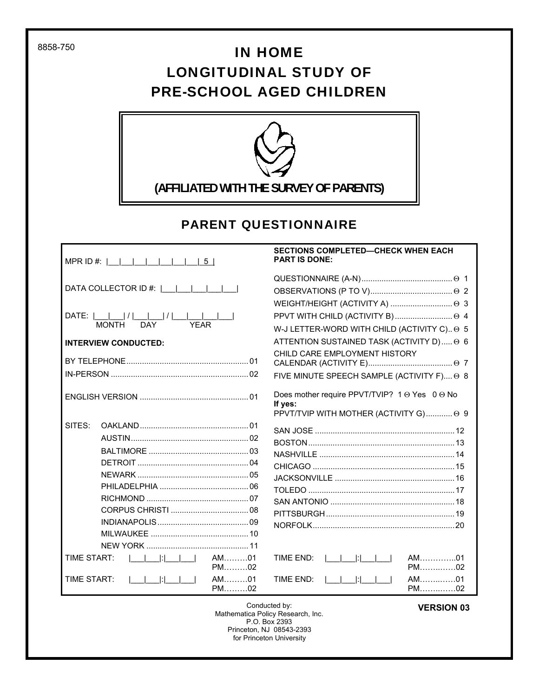8858-750

# IN HOME LONGITUDINAL STUDY OF PRE-SCHOOL AGED CHILDREN



### PARENT QUESTIONNAIRE

|             | MPR ID #:  __ __ __ __ __ __  5                                                   |                 |
|-------------|-----------------------------------------------------------------------------------|-----------------|
|             | DATA COLLECTOR ID #:                                                              |                 |
|             | DATE: $\frac{ I }{MONTH}$ $\frac{ I }{DAY}$ $\frac{ I }{YEAR}$ $\frac{ I }{YEAR}$ |                 |
|             | <b>INTERVIEW CONDUCTED:</b>                                                       |                 |
|             |                                                                                   |                 |
|             |                                                                                   |                 |
|             |                                                                                   |                 |
| SITES:      |                                                                                   |                 |
|             |                                                                                   |                 |
|             |                                                                                   |                 |
|             |                                                                                   |                 |
|             |                                                                                   |                 |
|             |                                                                                   |                 |
|             |                                                                                   |                 |
|             |                                                                                   |                 |
|             |                                                                                   |                 |
|             |                                                                                   |                 |
|             |                                                                                   | $AM$ 01<br>PM02 |
| TIME START: | <u>              </u>                                                             | AM01<br>$PM$ 02 |

#### **SECTIONS COMPLETED—CHECK WHEN EACH PART IS DONE:**

| PPVT WITH CHILD (ACTIVITY B)  ⊙ 4                                                                  |
|----------------------------------------------------------------------------------------------------|
| W-J LETTER-WORD WITH CHILD (ACTIVITY C) 0 5                                                        |
| ATTENTION SUSTAINED TASK (ACTIVITY D)  ⊙ 6                                                         |
| CHILD CARE EMPLOYMENT HISTORY                                                                      |
|                                                                                                    |
| FIVE MINUTE SPEECH SAMPLE (ACTIVITY F) → 8                                                         |
| Does mother require PPVT/TVIP? 1 → Yes 0 → No<br>If yes:<br>PPVT/TVIP WITH MOTHER (ACTIVITY G) @ 9 |
|                                                                                                    |
|                                                                                                    |
|                                                                                                    |
|                                                                                                    |
|                                                                                                    |
|                                                                                                    |
|                                                                                                    |
|                                                                                                    |
|                                                                                                    |
|                                                                                                    |
| <b>TIME END:</b><br>$AM$ 01<br>PM02                                                                |
| AM01<br>TIME FND:<br>PM02                                                                          |

Conducted by: Mathematica Policy Research, Inc. P.O. Box 2393 Princeton, NJ 08543-2393 for Princeton University

#### **VERSION 03**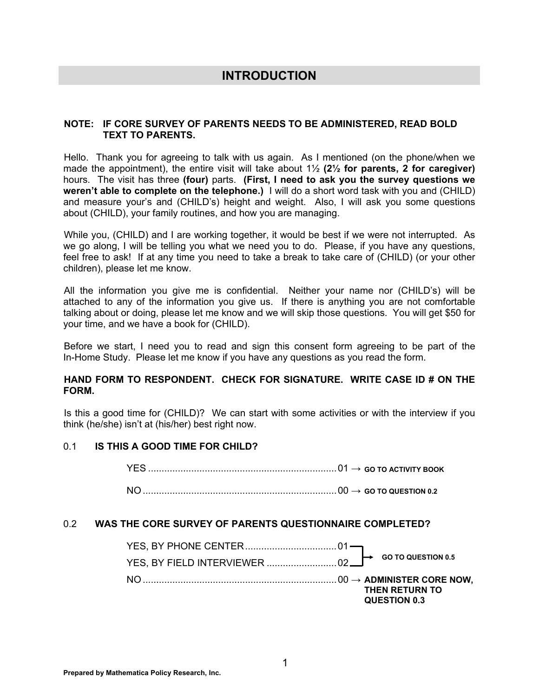### **INTRODUCTION**

#### **NOTE: IF CORE SURVEY OF PARENTS NEEDS TO BE ADMINISTERED, READ BOLD TEXT TO PARENTS.**

Hello. Thank you for agreeing to talk with us again. As I mentioned (on the phone/when we made the appointment), the entire visit will take about 1½ **(2½ for parents, 2 for caregiver)** hours. The visit has three **(four)** parts. **(First, I need to ask you the survey questions we weren't able to complete on the telephone.)** I will do a short word task with you and (CHILD) and measure your's and (CHILD's) height and weight. Also, I will ask you some questions about (CHILD), your family routines, and how you are managing.

While you, (CHILD) and I are working together, it would be best if we were not interrupted. As we go along, I will be telling you what we need you to do. Please, if you have any questions, feel free to ask! If at any time you need to take a break to take care of (CHILD) (or your other children), please let me know.

All the information you give me is confidential. Neither your name nor (CHILD's) will be attached to any of the information you give us. If there is anything you are not comfortable talking about or doing, please let me know and we will skip those questions. You will get \$50 for your time, and we have a book for (CHILD).

Before we start, I need you to read and sign this consent form agreeing to be part of the In-Home Study. Please let me know if you have any questions as you read the form.

#### **HAND FORM TO RESPONDENT. CHECK FOR SIGNATURE. WRITE CASE ID # ON THE FORM.**

Is this a good time for (CHILD)? We can start with some activities or with the interview if you think (he/she) isn't at (his/her) best right now.

#### 0.1 **IS THIS A GOOD TIME FOR CHILD?**

YES ...................................................................... 01 **→ GO TO ACTIVITY BOOK** 

NO ........................................................................ 00 **→ GO TO QUESTION 0.2**

#### 0.2 **WAS THE CORE SURVEY OF PARENTS QUESTIONNAIRE COMPLETED?**

|  |  | THEN RETURN TO<br>QUESTION 0.3 |
|--|--|--------------------------------|
|  |  |                                |
|  |  | $\mapsto$ GO TO QUESTION 0.5   |
|  |  |                                |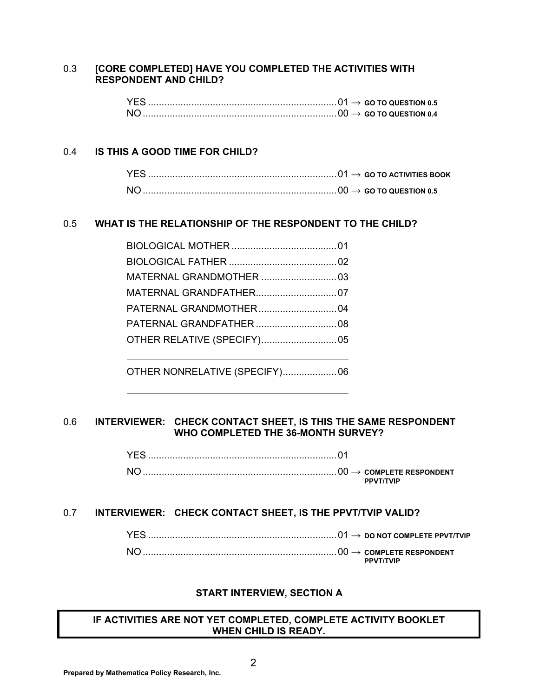#### 0.3 **[CORE COMPLETED] HAVE YOU COMPLETED THE ACTIVITIES WITH RESPONDENT AND CHILD?**

#### 0.4 **IS THIS A GOOD TIME FOR CHILD?**

#### 0.5 **WHAT IS THE RELATIONSHIP OF THE RESPONDENT TO THE CHILD?**

OTHER NONRELATIVE (SPECIFY) .................... 06

#### 0.6 **INTERVIEWER: CHECK CONTACT SHEET, IS THIS THE SAME RESPONDENT WHO COMPLETED THE 36-MONTH SURVEY?**

#### 0.7 **INTERVIEWER: CHECK CONTACT SHEET, IS THE PPVT/TVIP VALID?**

| NΙ | <b>PPVT/TVIP</b> |
|----|------------------|

#### **START INTERVIEW, SECTION A**

#### **IF ACTIVITIES ARE NOT YET COMPLETED, COMPLETE ACTIVITY BOOKLET WHEN CHILD IS READY.**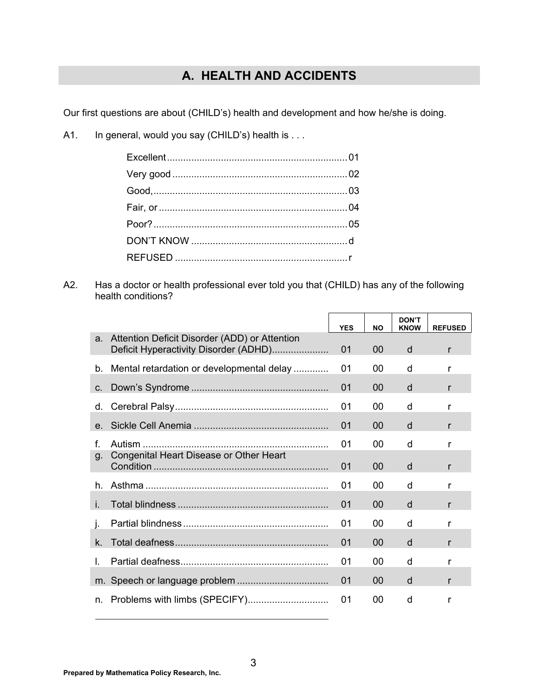## **A. HEALTH AND ACCIDENTS**

Our first questions are about (CHILD's) health and development and how he/she is doing.

A1. In general, would you say (CHILD's) health is . . .

A2. Has a doctor or health professional ever told you that (CHILD) has any of the following health conditions?

|    |                                                                                        | <b>YES</b> | <b>NO</b> | <b>DON'T</b><br><b>KNOW</b> | <b>REFUSED</b> |
|----|----------------------------------------------------------------------------------------|------------|-----------|-----------------------------|----------------|
| a. | Attention Deficit Disorder (ADD) or Attention<br>Deficit Hyperactivity Disorder (ADHD) | 01         | 00        | d                           | r              |
| b. | Mental retardation or developmental delay                                              | 01         | 00        | d                           | r              |
| C. |                                                                                        | 01         | 00        | d                           | r              |
| d. |                                                                                        | 01         | 00        | d                           | r              |
| e. |                                                                                        | 01         | 00        | d                           | r              |
| f  |                                                                                        | 01         | 00        | d                           | r              |
| g. | Congenital Heart Disease or Other Heart                                                | 01         | 00        | d                           | r              |
| h. |                                                                                        | 01         | 00        | d                           | r              |
| j. |                                                                                        | 01         | 00        | d                           | r              |
| Τ. |                                                                                        | 01         | 00        | d                           | r              |
| k. |                                                                                        | 01         | 00        | d                           | r              |
| I. |                                                                                        | 01         | 00        | d                           | r              |
| m. |                                                                                        | 01         | 00        | d                           | r              |
| n. |                                                                                        | 01         | 00        | d                           | r              |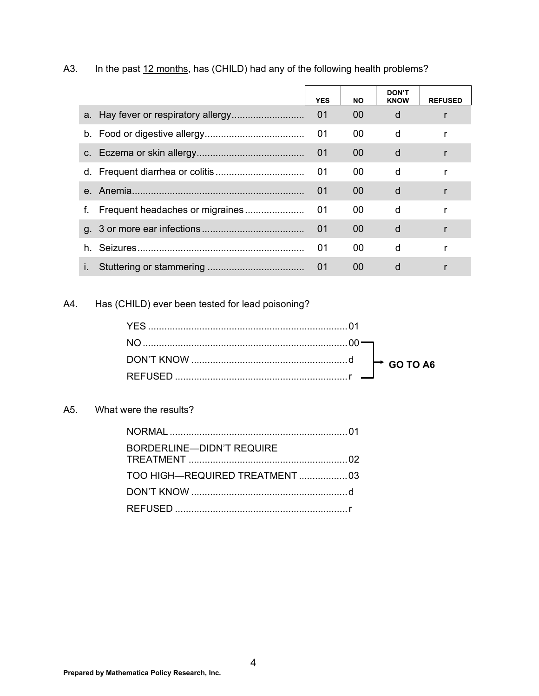|             | <b>YES</b> | <b>NO</b> | <b>DON'T</b><br><b>KNOW</b> | <b>REFUSED</b> |
|-------------|------------|-----------|-----------------------------|----------------|
|             | 01         | 00        | d                           |                |
|             | 01         | 00        | d                           |                |
|             | 01         | 00        | d                           |                |
|             | 01         | 00        | d                           |                |
| $e_{\cdot}$ | 01         | $00 \,$   | d                           |                |
| f.          | 01         | 00        | d                           |                |
|             | 01         | 00        | d                           |                |
| h.          | 01         | 00        | d                           |                |
| i.          | 01         | 00        | d                           |                |

### A3. In the past 12 months, has (CHILD) had any of the following health problems?

A4. Has (CHILD) ever been tested for lead poisoning?

#### A5. What were the results?

| BORDERLINE—DIDN'T REQUIRE       |  |
|---------------------------------|--|
| TOO HIGH-REQUIRED TREATMENT  03 |  |
|                                 |  |
|                                 |  |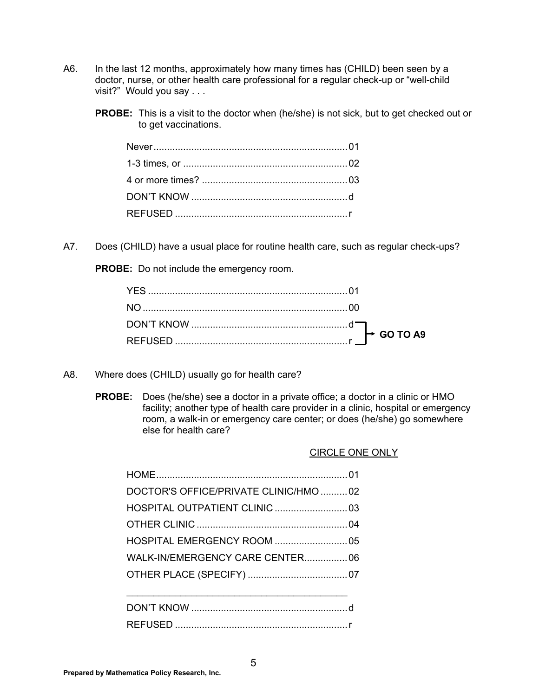- A6. In the last 12 months, approximately how many times has (CHILD) been seen by a doctor, nurse, or other health care professional for a regular check-up or "well-child visit?" Would you say . . .
	- **PROBE:** This is a visit to the doctor when (he/she) is not sick, but to get checked out or to get vaccinations.

A7. Does (CHILD) have a usual place for routine health care, such as regular check-ups?

**PROBE:** Do not include the emergency room.

- A8. Where does (CHILD) usually go for health care?
	- **PROBE:** Does (he/she) see a doctor in a private office; a doctor in a clinic or HMO facility; another type of health care provider in a clinic, hospital or emergency room, a walk-in or emergency care center; or does (he/she) go somewhere else for health care?

| DOCTOR'S OFFICE/PRIVATE CLINIC/HMO 02 |  |
|---------------------------------------|--|
|                                       |  |
|                                       |  |
|                                       |  |
| WALK-IN/EMERGENCY CARE CENTER 06      |  |
|                                       |  |
|                                       |  |
|                                       |  |
|                                       |  |

#### CIRCLE ONE ONLY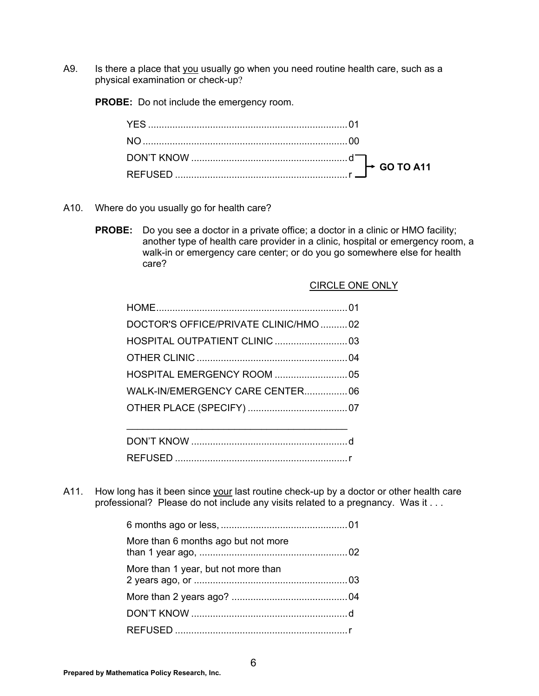A9. Is there a place that you usually go when you need routine health care, such as a physical examination or check-up?

**PROBE:** Do not include the emergency room.

- A10. Where do you usually go for health care?
	- **PROBE:** Do you see a doctor in a private office; a doctor in a clinic or HMO facility; another type of health care provider in a clinic, hospital or emergency room, a walk-in or emergency care center; or do you go somewhere else for health care?

| DOCTOR'S OFFICE/PRIVATE CLINIC/HMO 02 |  |
|---------------------------------------|--|
|                                       |  |
|                                       |  |
|                                       |  |
| WALK-IN/EMERGENCY CARE CENTER 06      |  |
|                                       |  |
|                                       |  |
|                                       |  |

| REFUSED |  |
|---------|--|

A11. How long has it been since your last routine check-up by a doctor or other health care professional? Please do not include any visits related to a pregnancy. Was it . . .

| More than 6 months ago but not more |  |
|-------------------------------------|--|
| More than 1 year, but not more than |  |
|                                     |  |
|                                     |  |
|                                     |  |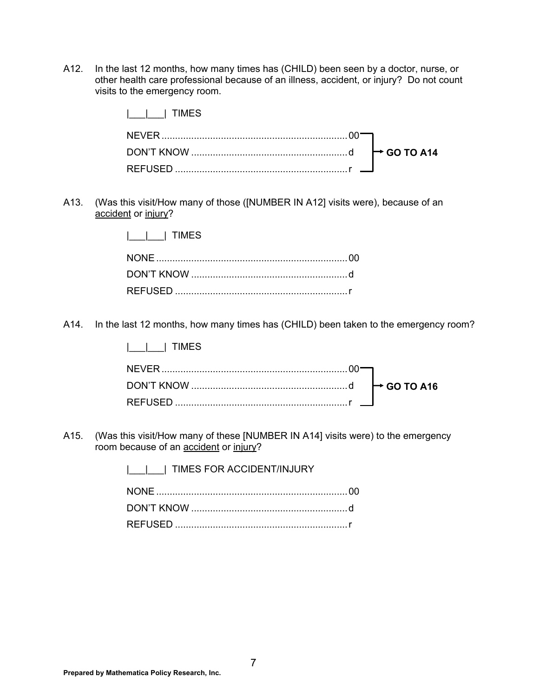A12. In the last 12 months, how many times has (CHILD) been seen by a doctor, nurse, or other health care professional because of an illness, accident, or injury? Do not count visits to the emergency room.

| IIMES |  |
|-------|--|
|       |  |
|       |  |
|       |  |

A13. (Was this visit/How many of those ([NUMBER IN A12] visits were), because of an accident or injury?

|\_\_\_|\_\_\_| TIMES

A14. In the last 12 months, how many times has (CHILD) been taken to the emergency room?

|\_\_\_|\_\_\_| TIMES

A15. (Was this visit/How many of these [NUMBER IN A14] visits were) to the emergency room because of an **accident** or injury?

> | | | | TIMES FOR ACCIDENT/INJURY NONE ....................................................................... 00 DON'T KNOW .......................................................... d REFUSED ................................................................ r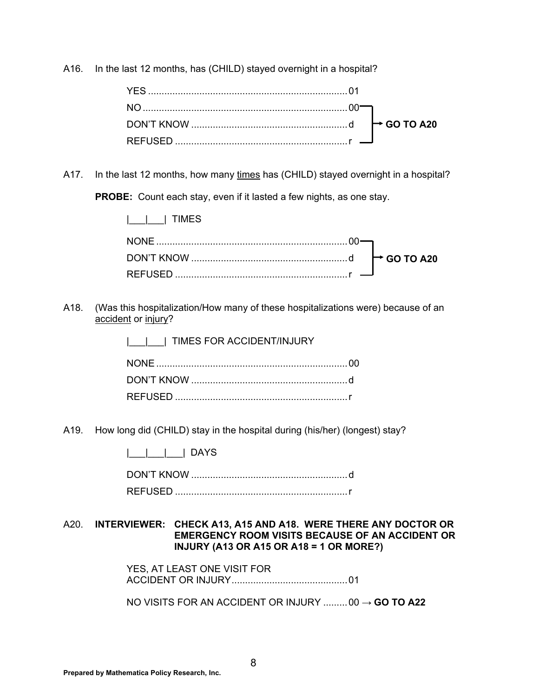A16. In the last 12 months, has (CHILD) stayed overnight in a hospital?

A17. In the last 12 months, how many times has (CHILD) stayed overnight in a hospital?

**PROBE:** Count each stay, even if it lasted a few nights, as one stay.

A18. (Was this hospitalization/How many of these hospitalizations were) because of an accident or injury?

|\_\_\_|\_\_\_| TIMES FOR ACCIDENT/INJURY

A19. How long did (CHILD) stay in the hospital during (his/her) (longest) stay?

|\_\_\_|\_\_\_|\_\_\_| DAYS

 DON'T KNOW .......................................................... d REFUSED ................................................................ r

#### A20. **INTERVIEWER: CHECK A13, A15 AND A18. WERE THERE ANY DOCTOR OR EMERGENCY ROOM VISITS BECAUSE OF AN ACCIDENT OR INJURY (A13 OR A15 OR A18 = 1 OR MORE?)**

 YES, AT LEAST ONE VISIT FOR ACCIDENT OR INJURY ........................................... 01

NO VISITS FOR AN ACCIDENT OR INJURY ......... 00 → **GO TO A22**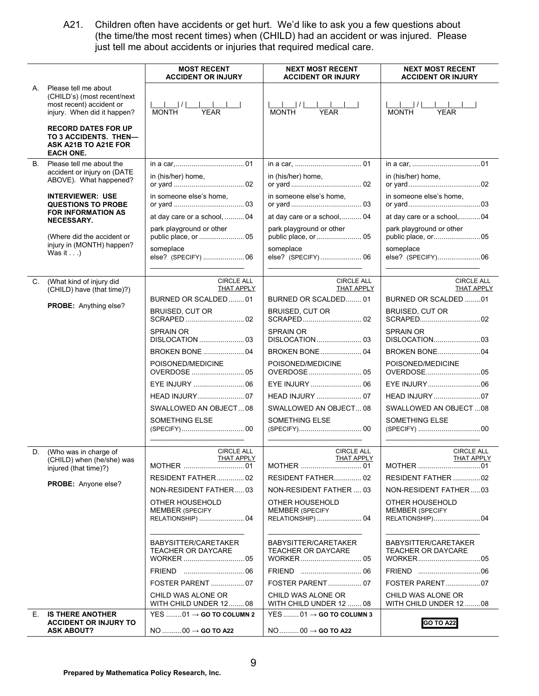A21. Children often have accidents or get hurt. We'd like to ask you a few questions about (the time/the most recent times) when (CHILD) had an accident or was injured. Please just tell me about accidents or injuries that required medical care.

|    |                                                                                                                | <b>MOST RECENT</b><br><b>ACCIDENT OR INJURY</b>                          | <b>NEXT MOST RECENT</b><br><b>ACCIDENT OR INJURY</b>                    | <b>NEXT MOST RECENT</b><br><b>ACCIDENT OR INJURY</b>         |
|----|----------------------------------------------------------------------------------------------------------------|--------------------------------------------------------------------------|-------------------------------------------------------------------------|--------------------------------------------------------------|
| А. | Please tell me about<br>(CHILD's) (most recent/next<br>most recent) accident or<br>injury. When did it happen? | <b>YEAR</b><br><b>MONTH</b>                                              | <b>MONTH</b><br><b>YEAR</b>                                             | <b>MONTH</b><br><b>YEAR</b>                                  |
|    | <b>RECORD DATES FOR UP</b><br>TO 3 ACCIDENTS. THEN-<br>ASK A21B TO A21E FOR<br><b>EACH ONE.</b>                |                                                                          |                                                                         |                                                              |
| B. | Please tell me about the                                                                                       |                                                                          |                                                                         |                                                              |
|    | accident or injury on (DATE<br>ABOVE). What happened?                                                          | in (his/her) home,                                                       | in (his/her) home,                                                      | in (his/her) home.                                           |
|    | <b>INTERVIEWER: USE</b><br><b>QUESTIONS TO PROBE</b>                                                           | in someone else's home,                                                  | in someone else's home,                                                 | in someone else's home,                                      |
|    | <b>FOR INFORMATION AS</b><br>NECESSARY.                                                                        | at day care or a school,  04                                             | at day care or a school,  04                                            | at day care or a school,04                                   |
|    | (Where did the accident or                                                                                     | park playground or other                                                 | park playground or other<br>public place, or  05                        | park playground or other<br>public place, or05               |
|    | injury in (MONTH) happen?<br>Was it $\ldots$ )                                                                 | someplace                                                                | someplace<br>else? (SPECIFY) 06                                         | someplace<br>else? (SPECIFY)06                               |
| C. | (What kind of injury did<br>(CHILD) have (that time)?)                                                         | <b>CIRCLE ALL</b><br>THAT APPLY                                          | <b>CIRCLE ALL</b><br>THAT APPLY                                         | <b>CIRCLE ALL</b><br>THAT APPLY                              |
|    |                                                                                                                | BURNED OR SCALDED01                                                      | BURNED OR SCALDED 01                                                    | BURNED OR SCALDED 01                                         |
|    | PROBE: Anything else?                                                                                          | <b>BRUISED, CUT OR</b>                                                   | <b>BRUISED, CUT OR</b>                                                  | <b>BRUISED, CUT OR</b>                                       |
|    |                                                                                                                | <b>SPRAIN OR</b>                                                         | <b>SPRAIN OR</b>                                                        | <b>SPRAIN OR</b><br>DISLOCATION03                            |
|    |                                                                                                                | <b>BROKEN BONE  04</b>                                                   | BROKEN BONE 04                                                          | <b>BROKEN BONE04</b>                                         |
|    |                                                                                                                | POISONED/MEDICINE                                                        | POISONED/MEDICINE                                                       | POISONED/MEDICINE                                            |
|    |                                                                                                                |                                                                          |                                                                         |                                                              |
|    |                                                                                                                |                                                                          |                                                                         | HEAD INJURY 07                                               |
|    |                                                                                                                | SWALLOWED AN OBJECT08                                                    | SWALLOWED AN OBJECT 08                                                  | SWALLOWED AN OBJECT08                                        |
|    |                                                                                                                | SOMETHING ELSE                                                           | SOMETHING ELSE                                                          | SOMETHING ELSE                                               |
|    |                                                                                                                |                                                                          |                                                                         |                                                              |
| D. | (Who was in charge of<br>(CHILD) when (he/she) was<br>injured (that time)?)                                    | <b>CIRCLE ALL</b><br>THAT APPLY                                          | <b>CIRCLE ALL</b><br>THAT APPLY                                         | <b>CIRCLE ALL</b><br><b>THAT APPLY</b><br>MOTHER 01          |
|    |                                                                                                                | RESIDENT FATHER 02                                                       | RESIDENT FATHER 02                                                      | RESIDENT FATHER 02                                           |
|    | <b>PROBE:</b> Anyone else?                                                                                     | NON-RESIDENT FATHER03                                                    | NON-RESIDENT FATHER  03                                                 | NON-RESIDENT FATHER03                                        |
|    |                                                                                                                | OTHER HOUSEHOLD<br><b>MEMBER (SPECIFY</b>                                | OTHER HOUSEHOLD<br><b>MEMBER (SPECIFY</b><br>RELATIONSHIP)  04          | OTHER HOUSEHOLD<br><b>MEMBER (SPECIFY</b><br>RELATIONSHIP)04 |
|    |                                                                                                                | BABYSITTER/CARETAKER<br><b>TEACHER OR DAYCARE</b>                        | BABYSITTER/CARETAKER<br><b>TEACHER OR DAYCARE</b>                       | BABYSITTER/CARETAKER<br>TEACHER OR DAYCARE                   |
|    |                                                                                                                |                                                                          |                                                                         |                                                              |
|    |                                                                                                                | <b>FOSTER PARENT  07</b>                                                 | <b>FOSTER PARENT</b> 07                                                 | FOSTER PARENT07                                              |
|    |                                                                                                                | CHILD WAS ALONE OR<br>WITH CHILD UNDER 12 08                             | CHILD WAS ALONE OR<br>WITH CHILD UNDER 12  08                           | CHILD WAS ALONE OR<br>WITH CHILD UNDER 1208                  |
| Е. | <b>IS THERE ANOTHER</b><br><b>ACCIDENT OR INJURY TO</b><br><b>ASK ABOUT?</b>                                   | $YES$ 01 $\rightarrow$ GO TO COLUMN 2<br>$NO$ 00 $\rightarrow$ GO TO A22 | YES  01 $\rightarrow$ GO TO COLUMN 3<br>$NO$ 00 $\rightarrow$ GO TO A22 | <b>GO TO A22</b>                                             |
|    |                                                                                                                |                                                                          |                                                                         |                                                              |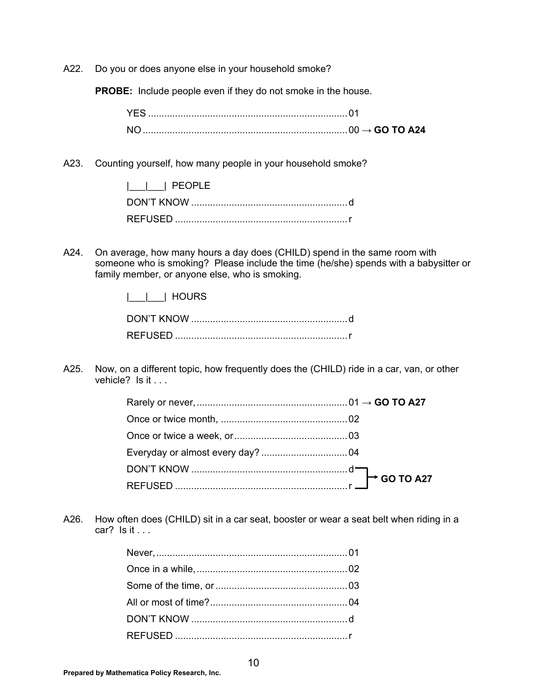A22. Do you or does anyone else in your household smoke?

**PROBE:** Include people even if they do not smoke in the house.

A23. Counting yourself, how many people in your household smoke?

| PEOPLE |  |
|--------|--|
|        |  |
|        |  |

A24. On average, how many hours a day does (CHILD) spend in the same room with someone who is smoking? Please include the time (he/she) spends with a babysitter or family member, or anyone else, who is smoking.

|\_\_\_|\_\_\_| HOURS

| <b>REFUSED</b> |  |
|----------------|--|

A25. Now, on a different topic, how frequently does the (CHILD) ride in a car, van, or other vehicle? Is it . . .

A26. How often does (CHILD) sit in a car seat, booster or wear a seat belt when riding in a car? Is it . . .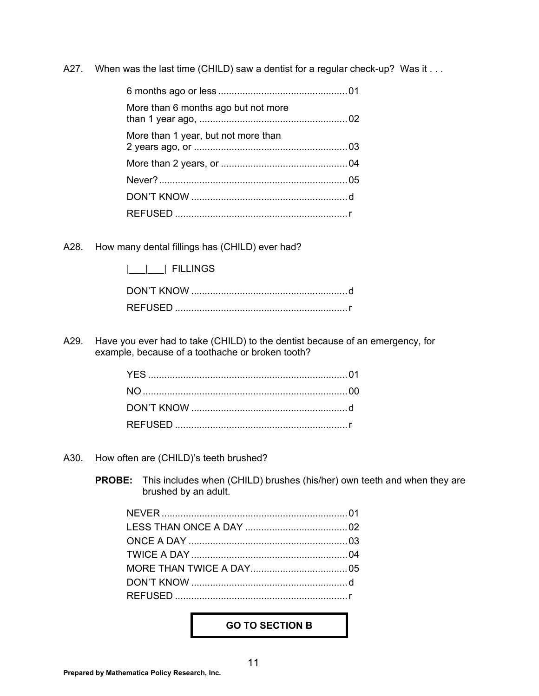A27. When was the last time (CHILD) saw a dentist for a regular check-up? Was it . . .

| More than 6 months ago but not more |  |
|-------------------------------------|--|
| More than 1 year, but not more than |  |
|                                     |  |
|                                     |  |
|                                     |  |
|                                     |  |

A28. How many dental fillings has (CHILD) ever had?

| <b>FILLINGS</b> |
|-----------------|
|-----------------|

| REFUSED |  |
|---------|--|

A29. Have you ever had to take (CHILD) to the dentist because of an emergency, for example, because of a toothache or broken tooth?

- A30. How often are (CHILD)'s teeth brushed?
	- **PROBE:** This includes when (CHILD) brushes (his/her) own teeth and when they are brushed by an adult.

#### **GO TO SECTION B**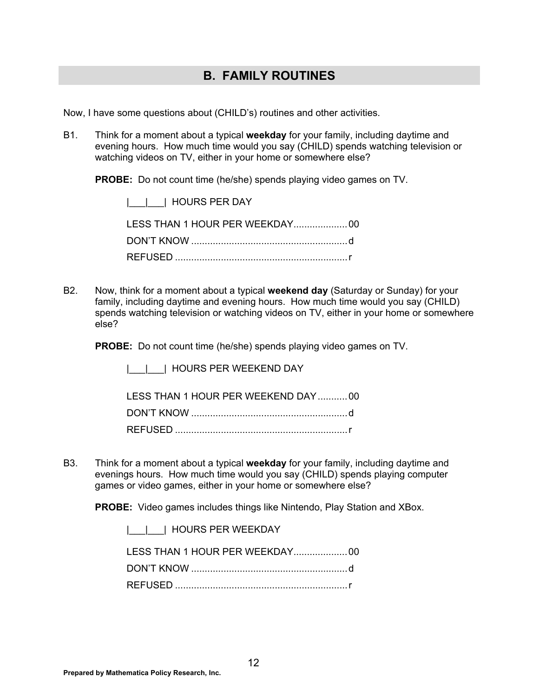### **B. FAMILY ROUTINES**

Now, I have some questions about (CHILD's) routines and other activities.

B1. Think for a moment about a typical **weekday** for your family, including daytime and evening hours. How much time would you say (CHILD) spends watching television or watching videos on TV, either in your home or somewhere else?

**PROBE:** Do not count time (he/she) spends playing video games on TV.

|  |  | HOURS PER DAY |
|--|--|---------------|
|--|--|---------------|

B2. Now, think for a moment about a typical **weekend day** (Saturday or Sunday) for your family, including daytime and evening hours. How much time would you say (CHILD) spends watching television or watching videos on TV, either in your home or somewhere else?

**PROBE:** Do not count time (he/she) spends playing video games on TV.

|\_\_\_|\_\_\_| HOURS PER WEEKEND DAY

 LESS THAN 1 HOUR PER WEEKEND DAY ........... 00 DON'T KNOW .......................................................... d

B3. Think for a moment about a typical **weekday** for your family, including daytime and evenings hours. How much time would you say (CHILD) spends playing computer games or video games, either in your home or somewhere else?

**PROBE:** Video games includes things like Nintendo, Play Station and XBox.

|\_\_\_|\_\_\_| HOURS PER WEEKDAY

 LESS THAN 1 HOUR PER WEEKDAY.................... 00 DON'T KNOW .......................................................... d REFUSED ................................................................ r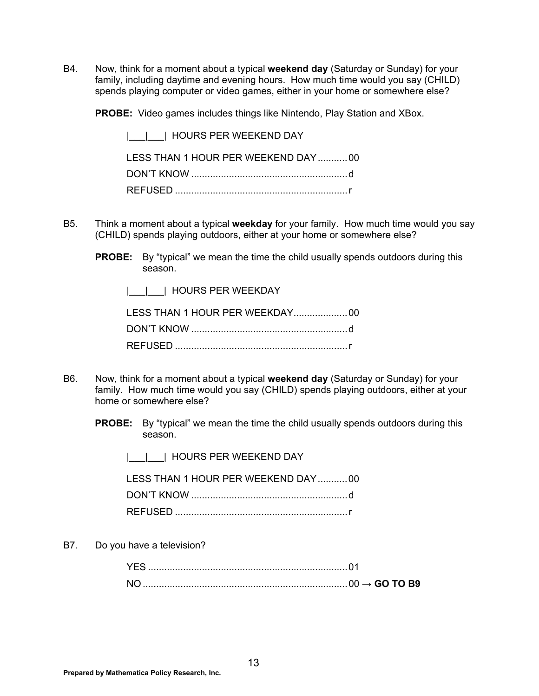B4. Now, think for a moment about a typical **weekend day** (Saturday or Sunday) for your family, including daytime and evening hours. How much time would you say (CHILD) spends playing computer or video games, either in your home or somewhere else?

**PROBE:** Video games includes things like Nintendo, Play Station and XBox.

 |\_\_\_|\_\_\_| HOURS PER WEEKEND DAY LESS THAN 1 HOUR PER WEEKEND DAY ........... 00 DON'T KNOW .......................................................... d REFUSED ................................................................ r

- B5. Think a moment about a typical **weekday** for your family. How much time would you say (CHILD) spends playing outdoors, either at your home or somewhere else?
	- **PROBE:** By "typical" we mean the time the child usually spends outdoors during this season.

|\_\_\_|\_\_\_| HOURS PER WEEKDAY

- B6. Now, think for a moment about a typical **weekend day** (Saturday or Sunday) for your family. How much time would you say (CHILD) spends playing outdoors, either at your home or somewhere else?
	- **PROBE:** By "typical" we mean the time the child usually spends outdoors during this season.
		- |\_\_\_|\_\_\_| HOURS PER WEEKEND DAY

| LESS THAN 1 HOUR PER WEEKEND DAY 00 |  |
|-------------------------------------|--|
|                                     |  |
|                                     |  |

B7. Do you have a television?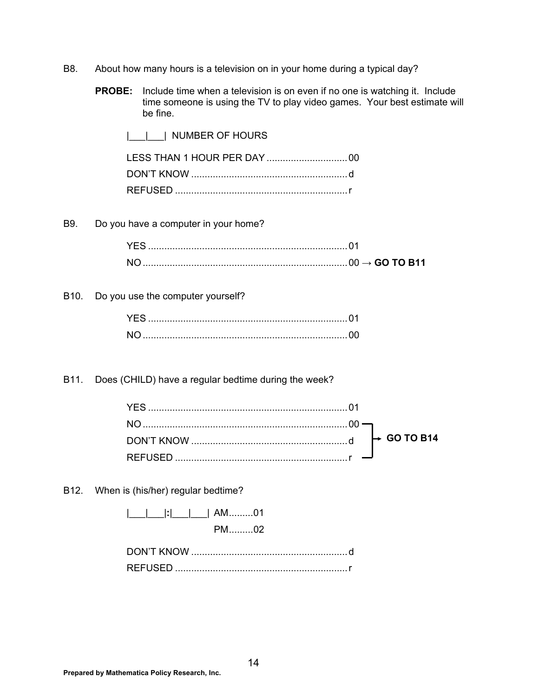- B8. About how many hours is a television on in your home during a typical day?
	- **PROBE:** Include time when a television is on even if no one is watching it. Include time someone is using the TV to play video games. Your best estimate will be fine.

| NUMBER OF HOURS |  |
|-----------------|--|
|                 |  |
|                 |  |
|                 |  |

B9. Do you have a computer in your home?

B10. Do you use the computer yourself?

B11. Does (CHILD) have a regular bedtime during the week?

B12. When is (his/her) regular bedtime?

|  |  | :        AM01  |
|--|--|----------------|
|  |  | <u>VIVI</u> U2 |

| <b>REFUSED</b> |  |
|----------------|--|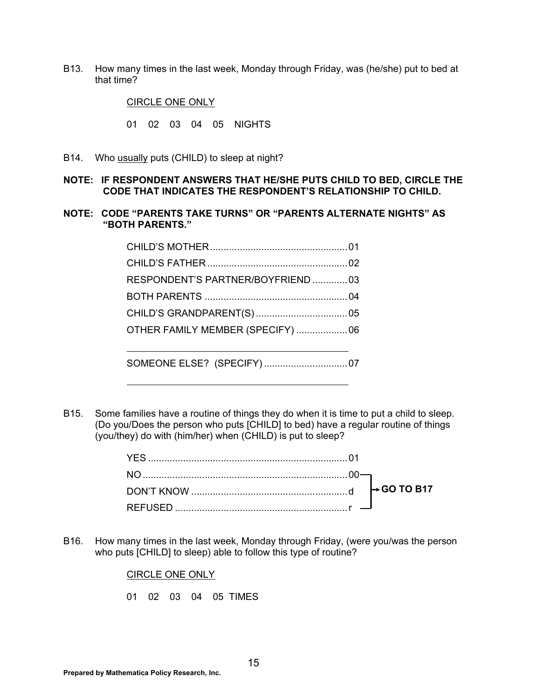B13. How many times in the last week, Monday through Friday, was (he/she) put to bed at that time?

CIRCLE ONE ONLY

01 02 03 04 05 NIGHTS

- B14. Who usually puts (CHILD) to sleep at night?
- **NOTE: IF RESPONDENT ANSWERS THAT HE/SHE PUTS CHILD TO BED, CIRCLE THE CODE THAT INDICATES THE RESPONDENT'S RELATIONSHIP TO CHILD.**
- **NOTE: CODE "PARENTS TAKE TURNS" OR "PARENTS ALTERNATE NIGHTS" AS "BOTH PARENTS."**

| RESPONDENT'S PARTNER/BOYFRIEND  03 |  |
|------------------------------------|--|
|                                    |  |
|                                    |  |
| OTHER FAMILY MEMBER (SPECIFY)  06  |  |
|                                    |  |
|                                    |  |

B15. Some families have a routine of things they do when it is time to put a child to sleep. (Do you/Does the person who puts [CHILD] to bed) have a regular routine of things (you/they) do with (him/her) when (CHILD) is put to sleep?

B16. How many times in the last week, Monday through Friday, (were you/was the person who puts [CHILD] to sleep) able to follow this type of routine?

CIRCLE ONE ONLY

01 02 03 04 05 TIMES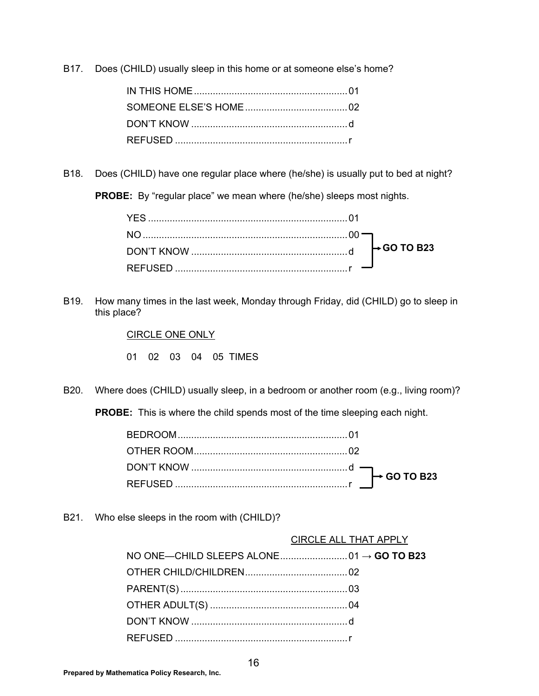B17. Does (CHILD) usually sleep in this home or at someone else's home?

B18. Does (CHILD) have one regular place where (he/she) is usually put to bed at night?

**PROBE:** By "regular place" we mean where (he/she) sleeps most nights.

B19. How many times in the last week, Monday through Friday, did (CHILD) go to sleep in this place?

CIRCLE ONE ONLY

01 02 03 04 05 TIMES

B20. Where does (CHILD) usually sleep, in a bedroom or another room (e.g., living room)?

**PROBE:** This is where the child spends most of the time sleeping each night.

B21. Who else sleeps in the room with (CHILD)?

#### CIRCLE ALL THAT APPLY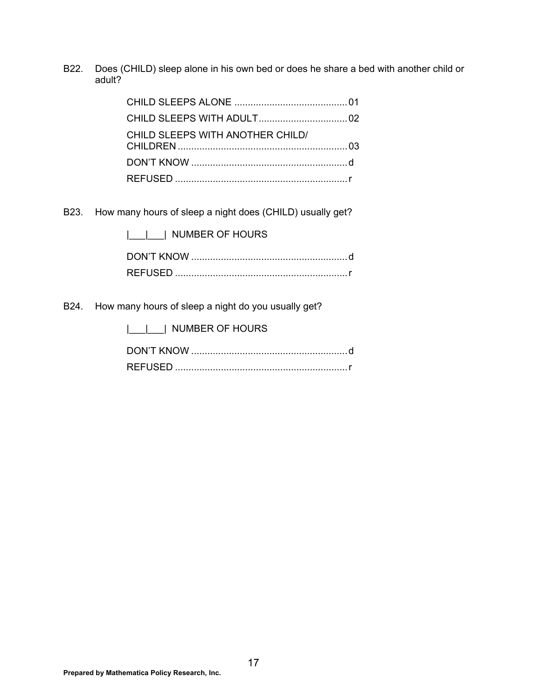B22. Does (CHILD) sleep alone in his own bed or does he share a bed with another child or adult?

| CHILD SLEEPS WITH ANOTHER CHILD/ |  |
|----------------------------------|--|
|                                  |  |
|                                  |  |

B23. How many hours of sleep a night does (CHILD) usually get?

| NUMBER OF HOURS |  |
|-----------------|--|
|                 |  |
|                 |  |

B24. How many hours of sleep a night do you usually get?

| NUMBER OF HOURS |
|-----------------|
|                 |
|                 |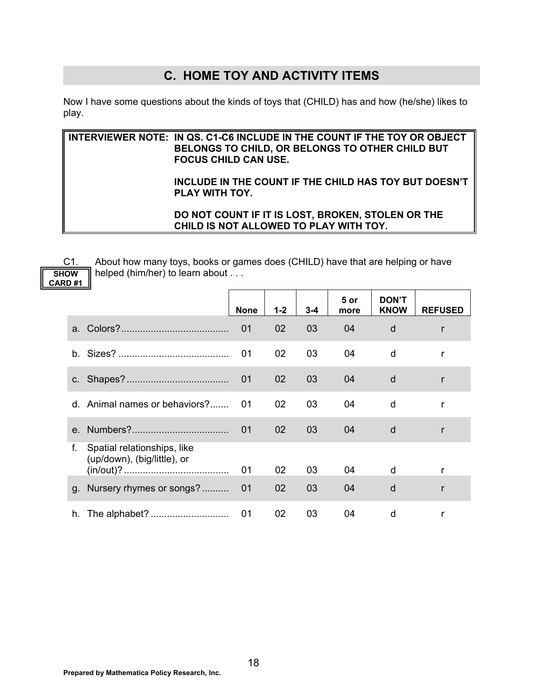### **C. HOME TOY AND ACTIVITY ITEMS**

Now I have some questions about the kinds of toys that (CHILD) has and how (he/she) likes to play.

**INTERVIEWER NOTE: IN QS. C1-C6 INCLUDE IN THE COUNT IF THE TOY OR OBJECT BELONGS TO CHILD, OR BELONGS TO OTHER CHILD BUT FOCUS CHILD CAN USE. INCLUDE IN THE COUNT IF THE CHILD HAS TOY BUT DOESN'T PLAY WITH TOY. DO NOT COUNT IF IT IS LOST, BROKEN, STOLEN OR THE CHILD IS NOT ALLOWED TO PLAY WITH TOY.** 

**SHOW CARD #1** 

C1. About how many toys, books or games does (CHILD) have that are helping or have helped (him/her) to learn about . . .

|                                                                  | <b>None</b> | $1 - 2$ | $3 - 4$ | 5 or<br>more | <b>DON'T</b><br><b>KNOW</b> | <b>REFUSED</b> |
|------------------------------------------------------------------|-------------|---------|---------|--------------|-----------------------------|----------------|
|                                                                  | 01          | 02      | 03      | 04           | d                           | $\mathsf{r}$   |
|                                                                  | 01          | 02      | 03      | 04           | d                           | r              |
|                                                                  | 01          | 02      | 03      | 04           | d                           | r              |
| d. Animal names or behaviors?                                    | 01          | 02      | 03      | 04           | d                           | r              |
|                                                                  | 01          | 02      | 03      | 04           | d                           | r              |
| Spatial relationships, like<br>f.<br>(up/down), (big/little), or | 01          | 02      | 03      | 04           | d                           |                |
| g. Nursery rhymes or songs?                                      | 01          | 02      | 03      | 04           | d                           | r              |
|                                                                  | 01          | 02      | 03      | 04           | d                           |                |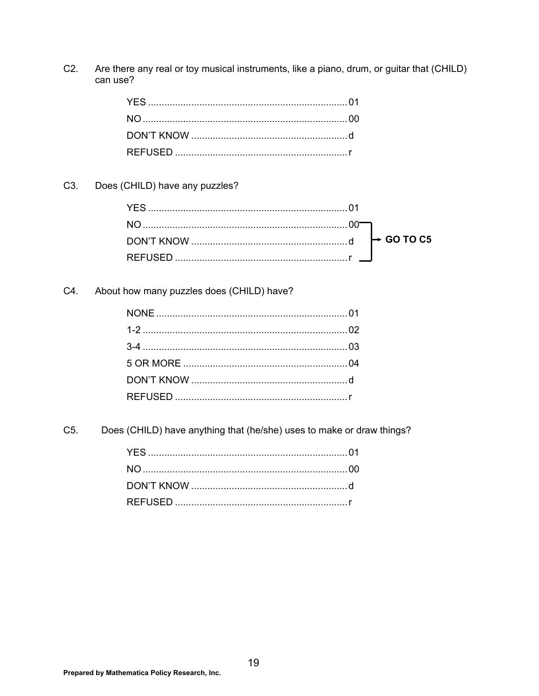Are there any real or toy musical instruments, like a piano, drum, or guitar that (CHILD)  $C2.$ can use?

Does (CHILD) have any puzzles? C3.

About how many puzzles does (CHILD) have? C4.

Does (CHILD) have anything that (he/she) uses to make or draw things? C5.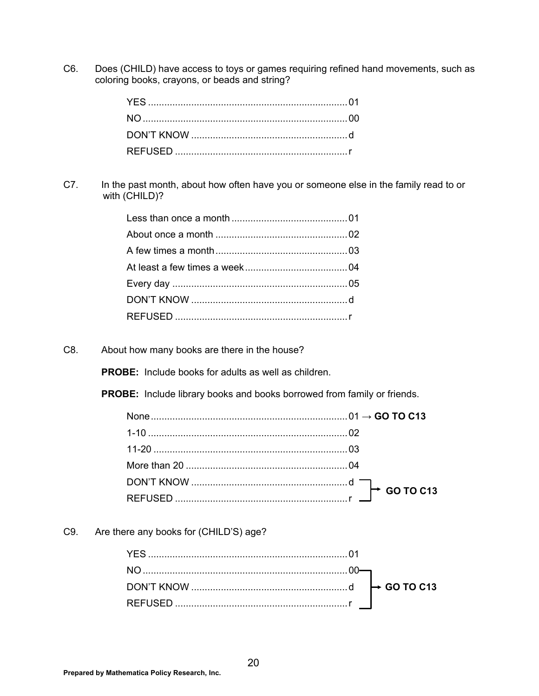C6. Does (CHILD) have access to toys or games requiring refined hand movements, such as coloring books, crayons, or beads and string?

C7. In the past month, about how often have you or someone else in the family read to or with (CHILD)?

C8. About how many books are there in the house?

**PROBE:** Include books for adults as well as children.

**PROBE:** Include library books and books borrowed from family or friends.

C9. Are there any books for (CHILD'S) age?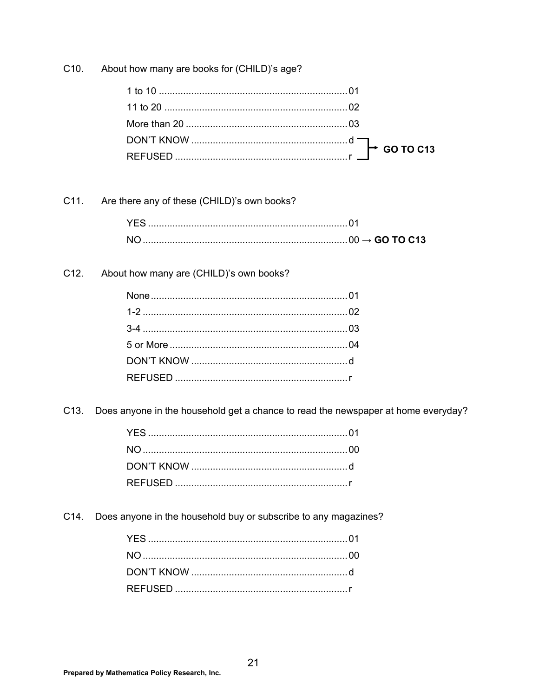About how many are books for (CHILD)'s age? C10.

| 1 to 10 …………………………………………………………………01 |  |
|-------------------------------------|--|
|                                     |  |
|                                     |  |
|                                     |  |
|                                     |  |

#### Are there any of these (CHILD)'s own books? C11.

#### $C12.$ About how many are (CHILD)'s own books?

C13. Does anyone in the household get a chance to read the newspaper at home everyday?

C14. Does anyone in the household buy or subscribe to any magazines?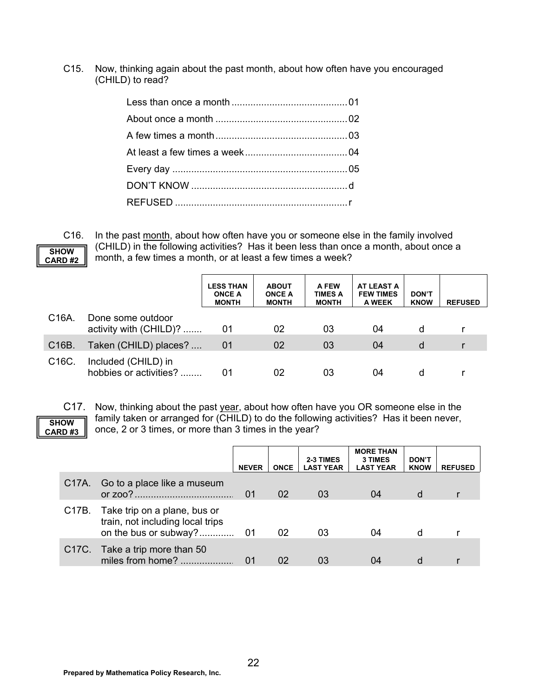C15. Now, thinking again about the past month, about how often have you encouraged (CHILD) to read?



C16. In the past month, about how often have you or someone else in the family involved (CHILD) in the following activities? Has it been less than once a month, about once a month, a few times a month, or at least a few times a week?

|                    |                                               | <b>LESS THAN</b><br><b>ONCE A</b><br><b>MONTH</b> | <b>ABOUT</b><br><b>ONCE A</b><br><b>MONTH</b> | A FEW<br><b>TIMES A</b><br><b>MONTH</b> | <b>AT LEAST A</b><br><b>FEW TIMES</b><br>A WEEK | <b>DON'T</b><br><b>KNOW</b> | <b>REFUSED</b> |
|--------------------|-----------------------------------------------|---------------------------------------------------|-----------------------------------------------|-----------------------------------------|-------------------------------------------------|-----------------------------|----------------|
| C <sub>16</sub> A. | Done some outdoor<br>activity with (CHILD)?   | 01                                                | 02                                            | 03                                      | 04                                              | d                           |                |
| C <sub>16</sub> B. | Taken (CHILD) places?                         | 01                                                | 02                                            | 03                                      | 04                                              | d                           |                |
| C <sub>16</sub> C. | Included (CHILD) in<br>hobbies or activities? | 01                                                | 02                                            | 03                                      | 04                                              | d                           |                |

### **SHOW CARD #3**

C17. Now, thinking about the past year, about how often have you OR someone else in the family taken or arranged for (CHILD) to do the following activities? Has it been never, once, 2 or 3 times, or more than 3 times in the year?

|                                                                                                 | <b>NEVER</b> | <b>ONCE</b> | 2-3 TIMES<br><b>LAST YEAR</b> | <b>MORE THAN</b><br><b>3 TIMES</b><br><b>LAST YEAR</b> | <b>DON'T</b><br><b>KNOW</b> | <b>REFUSED</b> |
|-------------------------------------------------------------------------------------------------|--------------|-------------|-------------------------------|--------------------------------------------------------|-----------------------------|----------------|
| C17A. Go to a place like a museum                                                               | 01           | 02          | 03                            | 04                                                     | d                           |                |
| C17B. Take trip on a plane, bus or<br>train, not including local trips<br>on the bus or subway? | 01           | 02          | 03                            | 04                                                     | d                           |                |
| C17C. Take a trip more than 50<br>miles from home?                                              |              | 02          |                               | 04                                                     | d                           |                |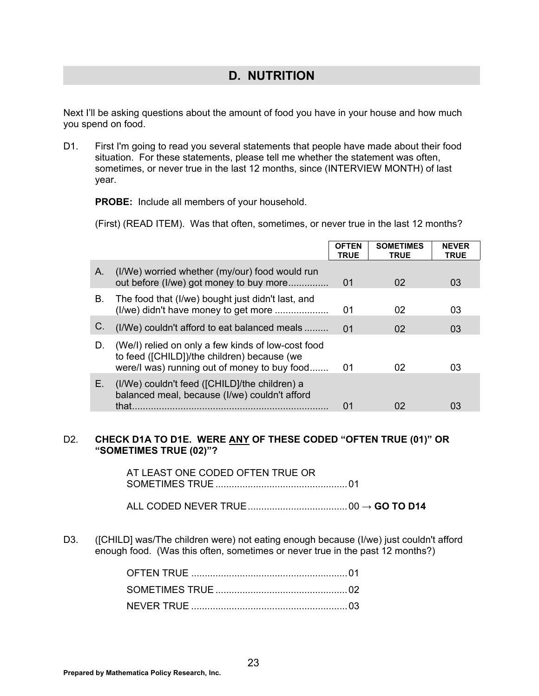### **D. NUTRITION**

Next I'll be asking questions about the amount of food you have in your house and how much you spend on food.

D1. First I'm going to read you several statements that people have made about their food situation. For these statements, please tell me whether the statement was often, sometimes, or never true in the last 12 months, since (INTERVIEW MONTH) of last year.

**PROBE:** Include all members of your household.

(First) (READ ITEM). Was that often, sometimes, or never true in the last 12 months?

|    |                                                                                                                                                   | <b>OFTEN</b><br>TRUE | <b>SOMETIMES</b><br><b>TRUE</b> | <b>NEVER</b><br><b>TRUE</b> |
|----|---------------------------------------------------------------------------------------------------------------------------------------------------|----------------------|---------------------------------|-----------------------------|
| Α. | (I/We) worried whether (my/our) food would run<br>out before (I/we) got money to buy more                                                         | 01                   | 02                              | 03                          |
| В. | The food that (I/we) bought just didn't last, and                                                                                                 | 01                   | 02                              | 03                          |
| C. | (I/We) couldn't afford to eat balanced meals                                                                                                      | 01                   | 02                              | 03                          |
| D. | (We/I) relied on only a few kinds of low-cost food<br>to feed ([CHILD])/the children) because (we<br>were/I was) running out of money to buy food | 01                   | 02                              | 03                          |
| Е. | (I/We) couldn't feed ([CHILD]/the children) a<br>balanced meal, because (I/we) couldn't afford<br>that                                            | 01                   | 02                              | 03                          |

#### D2. **CHECK D1A TO D1E. WERE ANY OF THESE CODED "OFTEN TRUE (01)" OR "SOMETIMES TRUE (02)"?**

 AT LEAST ONE CODED OFTEN TRUE OR SOMETIMES TRUE ................................................. 01

ALL CODED NEVER TRUE ..................................... 00 → **GO TO D14**

D3. ([CHILD] was/The children were) not eating enough because (I/we) just couldn't afford enough food. (Was this often, sometimes or never true in the past 12 months?)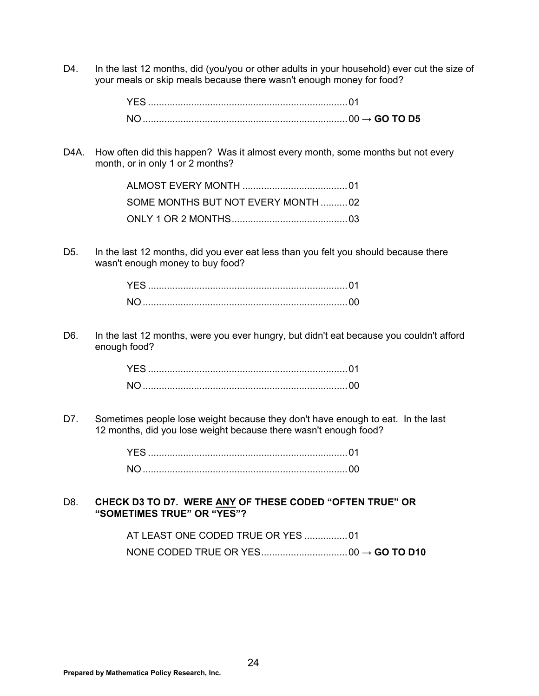D4. In the last 12 months, did (you/you or other adults in your household) ever cut the size of your meals or skip meals because there wasn't enough money for food?

|  | → GO TO D5 |
|--|------------|

D4A. How often did this happen? Was it almost every month, some months but not every month, or in only 1 or 2 months?

| SOME MONTHS BUT NOT EVERY MONTH 02 |  |
|------------------------------------|--|
|                                    |  |

D5. In the last 12 months, did you ever eat less than you felt you should because there wasn't enough money to buy food?

D6. In the last 12 months, were you ever hungry, but didn't eat because you couldn't afford enough food?

D7. Sometimes people lose weight because they don't have enough to eat. In the last 12 months, did you lose weight because there wasn't enough food?

D8. **CHECK D3 TO D7. WERE ANY OF THESE CODED "OFTEN TRUE" OR "SOMETIMES TRUE" OR "YES"?**

| AT LEAST ONE CODED TRUE OR YES 01 |  |
|-----------------------------------|--|
|                                   |  |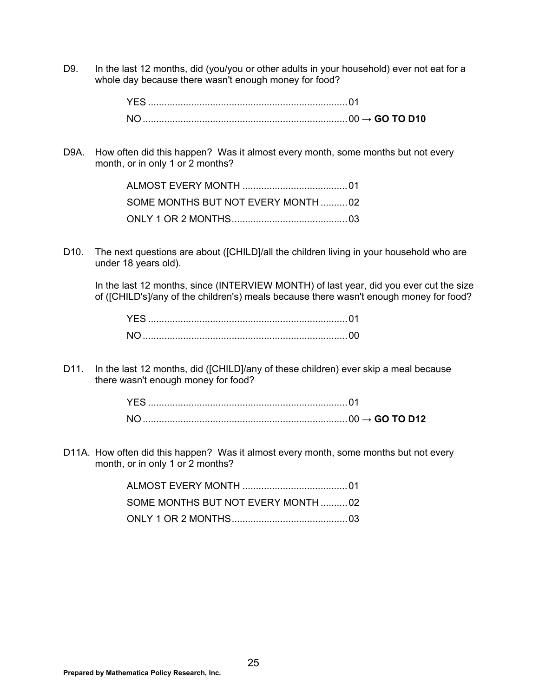D9. In the last 12 months, did (you/you or other adults in your household) ever not eat for a whole day because there wasn't enough money for food?

D9A. How often did this happen? Was it almost every month, some months but not every month, or in only 1 or 2 months?

| SOME MONTHS BUT NOT EVERY MONTH02 |  |
|-----------------------------------|--|
|                                   |  |

D10. The next questions are about ([CHILD]/all the children living in your household who are under 18 years old).

 In the last 12 months, since (INTERVIEW MONTH) of last year, did you ever cut the size of ([CHILD's]/any of the children's) meals because there wasn't enough money for food?

D11. In the last 12 months, did ([CHILD]/any of these children) ever skip a meal because there wasn't enough money for food?

D11A. How often did this happen? Was it almost every month, some months but not every month, or in only 1 or 2 months?

| SOME MONTHS BUT NOT EVERY MONTH 02 |  |
|------------------------------------|--|
|                                    |  |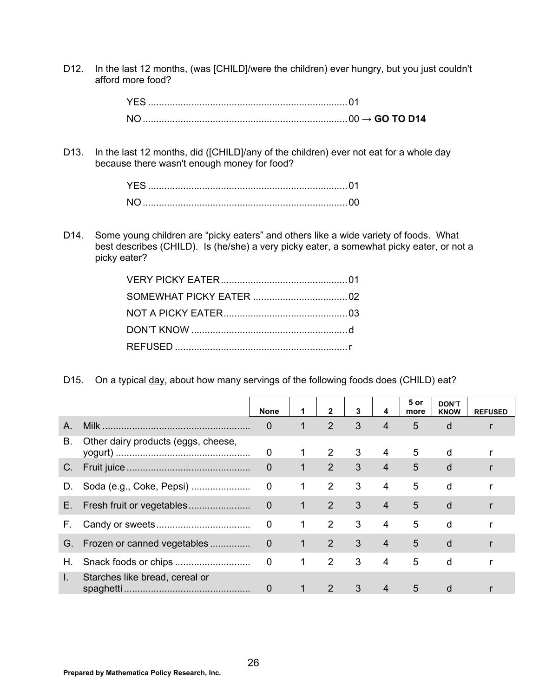D12. In the last 12 months, (was [CHILD]/were the children) ever hungry, but you just couldn't afford more food?

> YES .......................................................................... 01 NO ............................................................................ 00 → **GO TO D14**

D13. In the last 12 months, did ([CHILD]/any of the children) ever not eat for a whole day because there wasn't enough money for food?

D14. Some young children are "picky eaters" and others like a wide variety of foods. What best describes (CHILD). Is (he/she) a very picky eater, a somewhat picky eater, or not a picky eater?

D15. On a typical day, about how many servings of the following foods does (CHILD) eat?

|    |                                     | <b>None</b>    | 1              | $\mathbf{2}$   | 3            | 4              | 5 or<br>more | <b>DON'T</b><br><b>KNOW</b> | <b>REFUSED</b> |
|----|-------------------------------------|----------------|----------------|----------------|--------------|----------------|--------------|-----------------------------|----------------|
| Α. |                                     | 0              | 1              | 2              | 3            | $\overline{4}$ | 5            | d                           |                |
| В. | Other dairy products (eggs, cheese, | 0              | 1              | $\mathcal{P}$  | 3            | 4              | 5            | d                           |                |
| C. |                                     | $\overline{0}$ | $\mathbf 1$    | $\mathcal{P}$  | $\mathbf{3}$ | $\overline{4}$ | 5            | d                           |                |
| D. | Soda (e.g., Coke, Pepsi)            | $\mathbf 0$    | $\mathbf 1$    | $\overline{2}$ | 3            | $\overline{4}$ | 5            | d                           |                |
| Е. |                                     | $\mathbf 0$    | $\mathbf{1}$   | 2              | $\mathbf{3}$ | $\overline{4}$ | 5            | d                           |                |
| F. |                                     | $\mathbf 0$    | $\mathbf{1}$   | $\overline{2}$ | 3            | $\overline{4}$ | 5            | d                           |                |
| G. | Frozen or canned vegetables         | $\overline{0}$ | $\overline{1}$ | 2              | 3            | $\overline{4}$ | 5            | d                           |                |
| Η. | Snack foods or chips                | $\mathbf 0$    | 1              | 2              | 3            | $\overline{4}$ | 5            | d                           |                |
| I. | Starches like bread, cereal or      | 0              | 1              | 2              | 3            | $\overline{4}$ | 5            | d                           |                |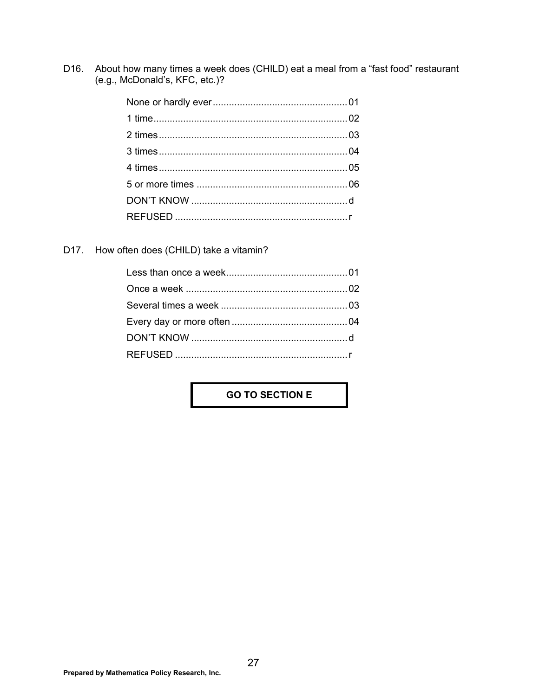D16. About how many times a week does (CHILD) eat a meal from a "fast food" restaurant (e.g., McDonald's, KFC, etc.)?

D17. How often does (CHILD) take a vitamin?

### **GO TO SECTION E**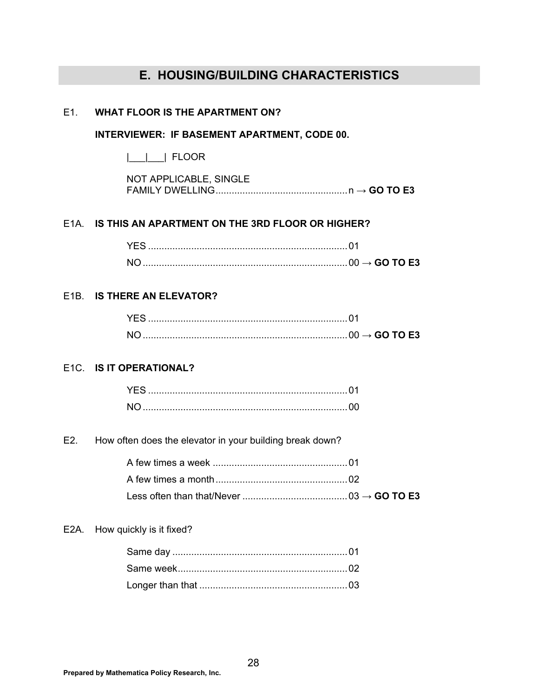## **E. HOUSING/BUILDING CHARACTERISTICS**

#### E1. **WHAT FLOOR IS THE APARTMENT ON?**

#### **INTERVIEWER: IF BASEMENT APARTMENT, CODE 00.**

|\_\_\_|\_\_\_| FLOOR

| NOT APPLICABLE, SINGLE |  |
|------------------------|--|
|                        |  |

#### E1A. **IS THIS AN APARTMENT ON THE 3RD FLOOR OR HIGHER?**

|  | $\rightarrow$ GO TO E3 |
|--|------------------------|

#### E1B. **IS THERE AN ELEVATOR?**

### E1C. **IS IT OPERATIONAL?**

E2. How often does the elevator in your building break down?

#### E2A. How quickly is it fixed?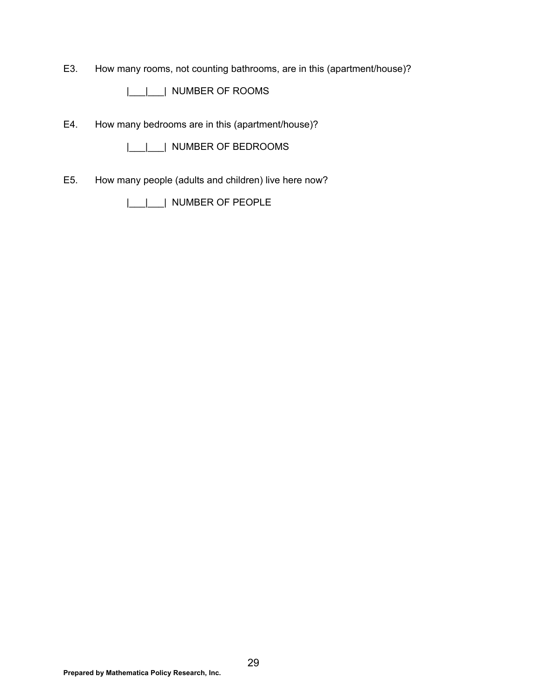E3. How many rooms, not counting bathrooms, are in this (apartment/house)?

|\_\_\_|\_\_\_| NUMBER OF ROOMS

E4. How many bedrooms are in this (apartment/house)?

|\_\_\_|\_\_\_| NUMBER OF BEDROOMS

E5. How many people (adults and children) live here now?

|\_\_\_|\_\_\_| NUMBER OF PEOPLE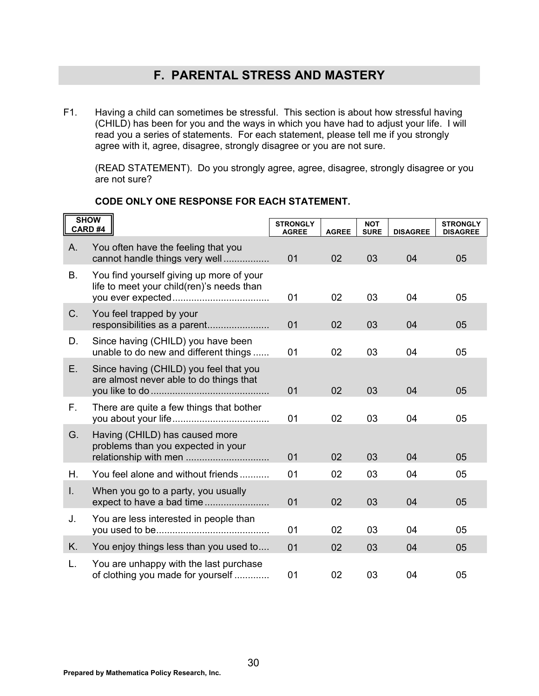## **F. PARENTAL STRESS AND MASTERY**

F1. Having a child can sometimes be stressful. This section is about how stressful having (CHILD) has been for you and the ways in which you have had to adjust your life. I will read you a series of statements. For each statement, please tell me if you strongly agree with it, agree, disagree, strongly disagree or you are not sure.

 (READ STATEMENT). Do you strongly agree, agree, disagree, strongly disagree or you are not sure?

|           | <b>SHOW</b><br>CARD#4                                                                 | <b>STRONGLY</b><br><b>AGREE</b> | <b>AGREE</b> | <b>NOT</b><br><b>SURE</b> | <b>DISAGREE</b> | <b>STRONGLY</b><br><b>DISAGREE</b> |
|-----------|---------------------------------------------------------------------------------------|---------------------------------|--------------|---------------------------|-----------------|------------------------------------|
| A.        | You often have the feeling that you<br>cannot handle things very well                 | 01                              | 02           | 03                        | 04              | 05                                 |
| <b>B.</b> | You find yourself giving up more of your<br>life to meet your child(ren)'s needs than | 01                              | 02           | 03                        | 04              | 05                                 |
| $C$ .     | You feel trapped by your<br>responsibilities as a parent                              | 01                              | 02           | 03                        | 04              | 05                                 |
| D.        | Since having (CHILD) you have been<br>unable to do new and different things           | 01                              | 02           | 03                        | 04              | 05                                 |
| Ε.        | Since having (CHILD) you feel that you<br>are almost never able to do things that     | 01                              | 02           | 03                        | 04              | 05                                 |
| F.        | There are quite a few things that bother                                              | 01                              | 02           | 03                        | 04              | 05                                 |
| G.        | Having (CHILD) has caused more<br>problems than you expected in your                  | 01                              | 02           | 03                        | 04              | 05                                 |
| Η.        | You feel alone and without friends                                                    | 01                              | 02           | 03                        | 04              | 05                                 |
| L.        | When you go to a party, you usually                                                   | 01                              | 02           | 03                        | 04              | 05                                 |
| J.        | You are less interested in people than                                                | 01                              | 02           | 03                        | 04              | 05                                 |
| K.        | You enjoy things less than you used to                                                | 01                              | 02           | 03                        | 04              | 05                                 |
| L.        | You are unhappy with the last purchase<br>of clothing you made for yourself           | 01                              | 02           | 03                        | 04              | 05                                 |

### **CODE ONLY ONE RESPONSE FOR EACH STATEMENT.**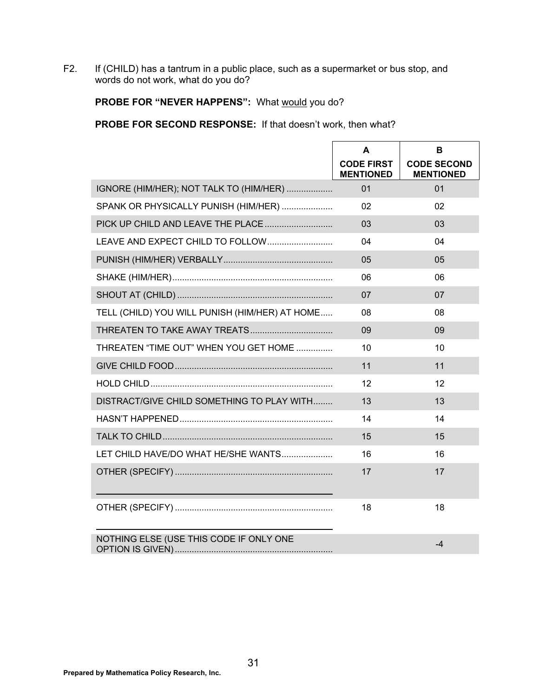F2. If (CHILD) has a tantrum in a public place, such as a supermarket or bus stop, and words do not work, what do you do?

### PROBE FOR "NEVER HAPPENS": What would you do?

**PROBE FOR SECOND RESPONSE:** If that doesn't work, then what?

|                                                | A<br><b>CODE FIRST</b><br><b>MENTIONED</b> | B<br><b>CODE SECOND</b><br><b>MENTIONED</b> |
|------------------------------------------------|--------------------------------------------|---------------------------------------------|
| IGNORE (HIM/HER); NOT TALK TO (HIM/HER)        | 01                                         | 01                                          |
| SPANK OR PHYSICALLY PUNISH (HIM/HER)           | 02                                         | 02                                          |
| PICK UP CHILD AND LEAVE THE PLACE              | 03                                         | 03                                          |
| LEAVE AND EXPECT CHILD TO FOLLOW               | 04                                         | 04                                          |
|                                                | 05                                         | 05                                          |
|                                                | 06                                         | 06                                          |
|                                                | 07                                         | 07                                          |
| TELL (CHILD) YOU WILL PUNISH (HIM/HER) AT HOME | 08                                         | 08                                          |
|                                                | 09                                         | 09                                          |
| THREATEN "TIME OUT" WHEN YOU GET HOME          | 10                                         | 10                                          |
|                                                | 11                                         | 11                                          |
|                                                | 12                                         | 12                                          |
| DISTRACT/GIVE CHILD SOMETHING TO PLAY WITH     | 13                                         | 13                                          |
|                                                | 14                                         | 14                                          |
|                                                | 15                                         | 15                                          |
| LET CHILD HAVE/DO WHAT HE/SHE WANTS            | 16                                         | 16                                          |
|                                                | 17                                         | 17                                          |
|                                                | 18                                         | 18                                          |
| NOTHING ELSE (USE THIS CODE IF ONLY ONE        |                                            | $-4$                                        |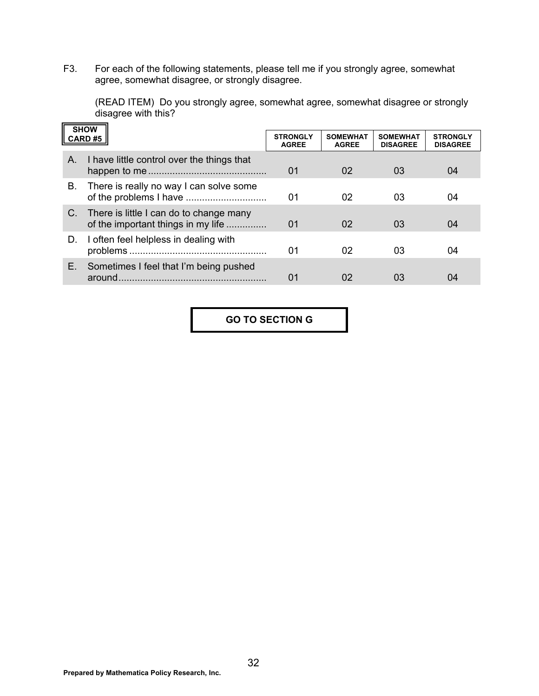F3. For each of the following statements, please tell me if you strongly agree, somewhat agree, somewhat disagree, or strongly disagree.

 (READ ITEM) Do you strongly agree, somewhat agree, somewhat disagree or strongly disagree with this?

| <b>SHOW</b> |                                                                               |                                 |                                 |                                    |                                    |
|-------------|-------------------------------------------------------------------------------|---------------------------------|---------------------------------|------------------------------------|------------------------------------|
|             | CARD#5                                                                        | <b>STRONGLY</b><br><b>AGREE</b> | <b>SOMEWHAT</b><br><b>AGREE</b> | <b>SOMEWHAT</b><br><b>DISAGREE</b> | <b>STRONGLY</b><br><b>DISAGREE</b> |
| Α.          | I have little control over the things that                                    | 01                              | 02                              | 03                                 | 04                                 |
| В.          | There is really no way I can solve some                                       | 01                              | 02                              | 03                                 | 04                                 |
| C.          | There is little I can do to change many<br>of the important things in my life | 01                              | 02                              | 03                                 | 04                                 |
| D.          | I often feel helpless in dealing with                                         | 01                              | 02                              | 03                                 | 04                                 |
| Е.          | Sometimes I feel that I'm being pushed<br>around                              | 01                              | 02                              | 03                                 | 04                                 |

**GO TO SECTION G** 

 $\overline{\phantom{0}}$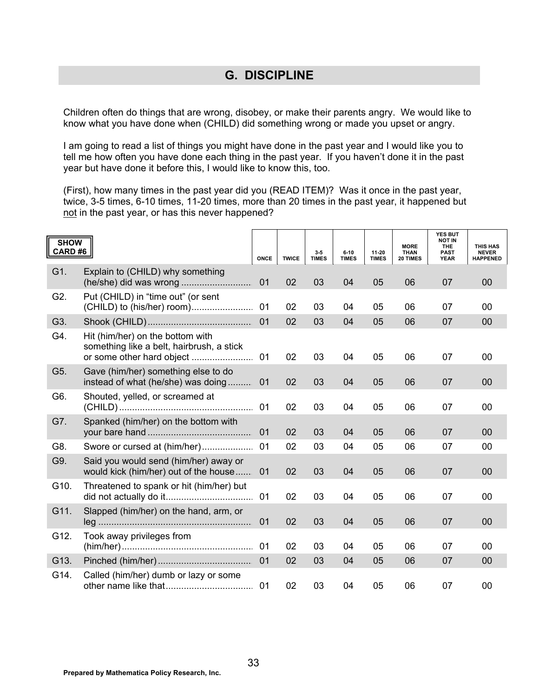### **G. DISCIPLINE**

Children often do things that are wrong, disobey, or make their parents angry. We would like to know what you have done when (CHILD) did something wrong or made you upset or angry.

I am going to read a list of things you might have done in the past year and I would like you to tell me how often you have done each thing in the past year. If you haven't done it in the past year but have done it before this, I would like to know this, too.

(First), how many times in the past year did you (READ ITEM)? Was it once in the past year, twice, 3-5 times, 6-10 times, 11-20 times, more than 20 times in the past year, it happened but not in the past year, or has this never happened?

| <b>SHOW</b><br>CARD#6 |                                                                                   | <b>ONCE</b> | <b>TWICE</b> | 3.5<br><b>TIMES</b> | $6 - 10$<br><b>TIMES</b> | 11-20<br><b>TIMES</b> | <b>MORE</b><br><b>THAN</b><br>20 TIMES | <b>YES BUT</b><br><b>NOT IN</b><br>THE<br><b>PAST</b><br><b>YEAR</b> | THIS HAS<br><b>NEVER</b><br><b>HAPPENED</b> |
|-----------------------|-----------------------------------------------------------------------------------|-------------|--------------|---------------------|--------------------------|-----------------------|----------------------------------------|----------------------------------------------------------------------|---------------------------------------------|
| G1.                   | Explain to (CHILD) why something                                                  | 01          | 02           | 03                  | 04                       | 05                    | 06                                     | 07                                                                   | 00                                          |
| G2.                   | Put (CHILD) in "time out" (or sent                                                | 01          | 02           | 03                  | 04                       | 05                    | 06                                     | 07                                                                   | 00                                          |
| G3.                   |                                                                                   | 01          | 02           | 03                  | 04                       | 05                    | 06                                     | 07                                                                   | 00                                          |
| G4.                   | Hit (him/her) on the bottom with<br>something like a belt, hairbrush, a stick     | 01          | 02           | 03                  | 04                       | 05                    | 06                                     | 07                                                                   | 00                                          |
| G5.                   | Gave (him/her) something else to do<br>instead of what (he/she) was doing         | 01          | 02           | 03                  | 04                       | 05                    | 06                                     | 07                                                                   | 00                                          |
| G6.                   | Shouted, yelled, or screamed at                                                   | 01          | 02           | 03                  | 04                       | 05                    | 06                                     | 07                                                                   | $00\,$                                      |
| G7.                   | Spanked (him/her) on the bottom with                                              | 01          | 02           | 03                  | 04                       | 05                    | 06                                     | 07                                                                   | 00                                          |
| G8.                   | Swore or cursed at (him/her)                                                      | 01          | 02           | 03                  | 04                       | 05                    | 06                                     | 07                                                                   | 00                                          |
| G9.                   | Said you would send (him/her) away or<br>would kick (him/her) out of the house 01 |             | 02           | 03                  | 04                       | 05                    | 06                                     | 07                                                                   | 00                                          |
| G10.                  | Threatened to spank or hit (him/her) but                                          | 01          | 02           | 03                  | 04                       | 05                    | 06                                     | 07                                                                   | 00                                          |
| G11.                  | Slapped (him/her) on the hand, arm, or                                            | 01          | 02           | 03                  | 04                       | 05                    | 06                                     | 07                                                                   | 00                                          |
| G12.                  | Took away privileges from                                                         | 01          | 02           | 03                  | 04                       | 05                    | 06                                     | 07                                                                   | 00                                          |
| G13.                  |                                                                                   | 01          | 02           | 03                  | 04                       | 05                    | 06                                     | 07                                                                   | 00                                          |
| G14.                  | Called (him/her) dumb or lazy or some                                             |             | 02           | 03                  | 04                       | 05                    | 06                                     | 07                                                                   | 00                                          |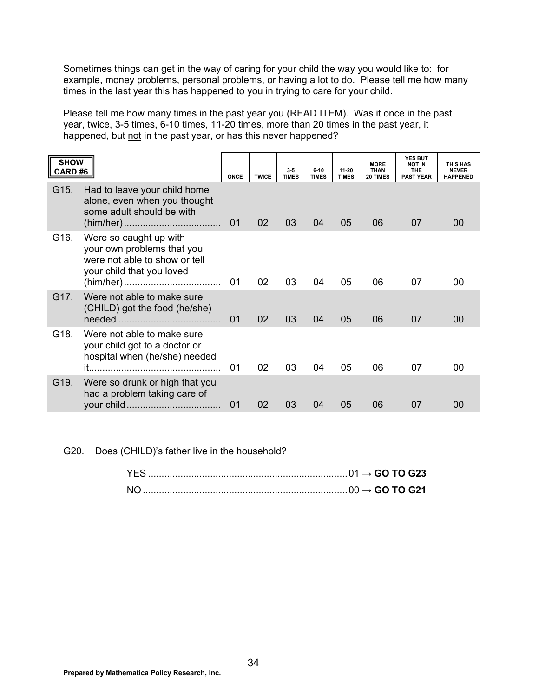Sometimes things can get in the way of caring for your child the way you would like to: for example, money problems, personal problems, or having a lot to do. Please tell me how many times in the last year this has happened to you in trying to care for your child.

Please tell me how many times in the past year you (READ ITEM). Was it once in the past year, twice, 3-5 times, 6-10 times, 11-20 times, more than 20 times in the past year, it happened, but not in the past year, or has this never happened?

| <b>SHOW</b><br>CARD#6 |                                                                                                                    | ONCE | <b>TWICE</b> | 3.5<br><b>TIMES</b> | $6 - 10$<br><b>TIMES</b> | 11-20<br><b>TIMES</b> | <b>MORE</b><br><b>THAN</b><br>20 TIMES | <b>YES BUT</b><br><b>NOT IN</b><br><b>THE</b><br><b>PAST YEAR</b> | <b>THIS HAS</b><br><b>NEVER</b><br><b>HAPPENED</b> |
|-----------------------|--------------------------------------------------------------------------------------------------------------------|------|--------------|---------------------|--------------------------|-----------------------|----------------------------------------|-------------------------------------------------------------------|----------------------------------------------------|
| G15.                  | Had to leave your child home<br>alone, even when you thought<br>some adult should be with                          | 01   | 02           | 03                  | 04                       | 05                    | 06                                     | 07                                                                | 00                                                 |
| G16.                  | Were so caught up with<br>your own problems that you<br>were not able to show or tell<br>your child that you loved | 01   | 02           | 03                  | 04                       | 05                    | 06                                     | 07                                                                | 00                                                 |
| G17.                  | Were not able to make sure<br>(CHILD) got the food (he/she)                                                        | 01   | 02           | 03                  | 04                       | 05                    | 06                                     | 07                                                                | 00                                                 |
| G18.                  | Were not able to make sure<br>your child got to a doctor or<br>hospital when (he/she) needed                       | 01   | 02           | 03                  | 04                       | 05                    | 06                                     | 07                                                                | 00                                                 |
| G19.                  | Were so drunk or high that you<br>had a problem taking care of                                                     | 01   | 02           | 03                  | 04                       | 05                    | 06                                     | 07                                                                | 00                                                 |

G20. Does (CHILD)'s father live in the household?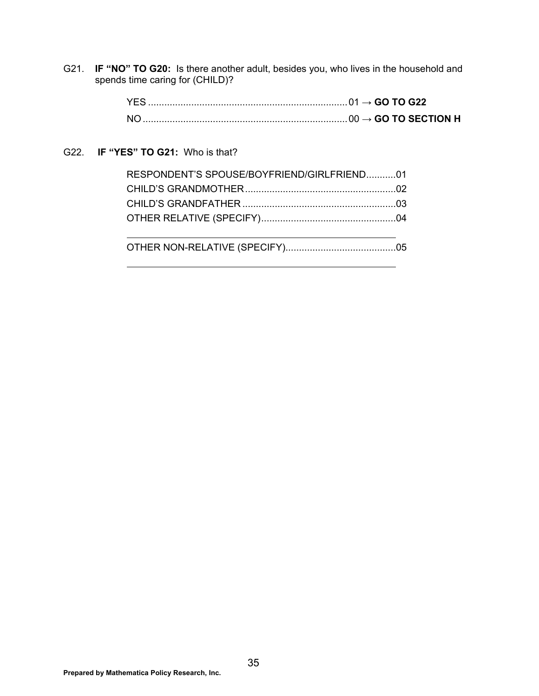G21. **IF "NO" TO G20:** Is there another adult, besides you, who lives in the household and spends time caring for (CHILD)?

#### G22. **IF "YES" TO G21:** Who is that?

| RESPONDENT'S SPOUSE/BOYFRIEND/GIRLFRIEND01 |  |
|--------------------------------------------|--|
|                                            |  |
|                                            |  |
|                                            |  |
|                                            |  |

OTHER NON-RELATIVE (SPECIFY)......................................... 05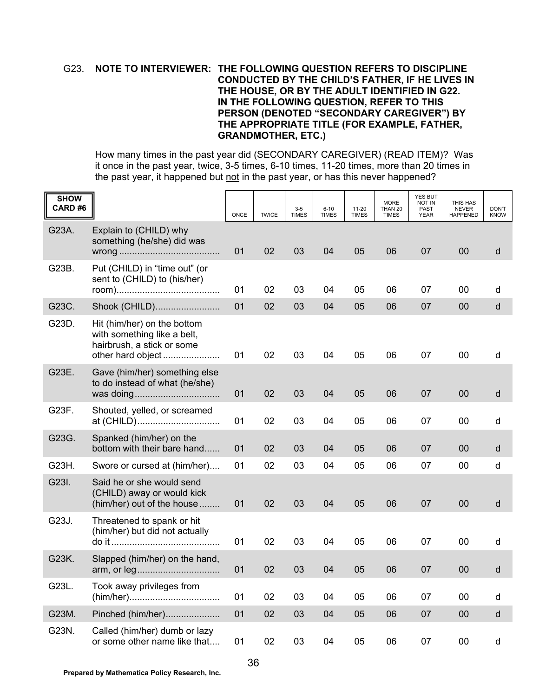#### G23. **NOTE TO INTERVIEWER: THE FOLLOWING QUESTION REFERS TO DISCIPLINE CONDUCTED BY THE CHILD'S FATHER, IF HE LIVES IN THE HOUSE, OR BY THE ADULT IDENTIFIED IN G22. IN THE FOLLOWING QUESTION, REFER TO THIS PERSON (DENOTED "SECONDARY CAREGIVER") BY THE APPROPRIATE TITLE (FOR EXAMPLE, FATHER, GRANDMOTHER, ETC.)**

 How many times in the past year did (SECONDARY CAREGIVER) (READ ITEM)? Was it once in the past year, twice, 3-5 times, 6-10 times, 11-20 times, more than 20 times in the past year, it happened but not in the past year, or has this never happened?

| <b>SHOW</b><br>CARD#6 |                                                                                          | ONCE | <b>TWICE</b> | $3 - 5$<br><b>TIMES</b> | $6 - 10$<br><b>TIMES</b> | $11 - 20$<br><b>TIMES</b> | <b>MORE</b><br>THAN 20<br><b>TIMES</b> | <b>YES BUT</b><br><b>NOT IN</b><br>PAST<br><b>YEAR</b> | THIS HAS<br><b>NEVER</b><br><b>HAPPENED</b> | DON'T<br><b>KNOW</b> |
|-----------------------|------------------------------------------------------------------------------------------|------|--------------|-------------------------|--------------------------|---------------------------|----------------------------------------|--------------------------------------------------------|---------------------------------------------|----------------------|
| G23A.                 | Explain to (CHILD) why<br>something (he/she) did was                                     | 01   | 02           | 03                      | 04                       | 05                        | 06                                     | 07                                                     | 00                                          | d                    |
| G23B.                 | Put (CHILD) in "time out" (or<br>sent to (CHILD) to (his/her)                            | 01   | 02           | 03                      | 04                       | 05                        | 06                                     | 07                                                     | 00                                          | d                    |
| G23C.                 | Shook (CHILD)                                                                            | 01   | 02           | 03                      | 04                       | 05                        | 06                                     | 07                                                     | 00                                          | d                    |
| G23D.                 | Hit (him/her) on the bottom<br>with something like a belt,<br>hairbrush, a stick or some | 01   | 02           | 03                      | 04                       | 05                        | 06                                     | 07                                                     | 00                                          | d                    |
| G23E.                 | Gave (him/her) something else<br>to do instead of what (he/she)                          | 01   | 02           | 03                      | 04                       | 05                        | 06                                     | 07                                                     | 00                                          | d                    |
| G23F.                 | Shouted, yelled, or screamed<br>at (CHILD)                                               | 01   | 02           | 03                      | 04                       | 05                        | 06                                     | 07                                                     | 00                                          | d                    |
| G23G.                 | Spanked (him/her) on the<br>bottom with their bare hand                                  | 01   | 02           | 03                      | 04                       | 05                        | 06                                     | 07                                                     | 00                                          | d                    |
| G23H.                 | Swore or cursed at (him/her)                                                             | 01   | 02           | 03                      | 04                       | 05                        | 06                                     | 07                                                     | 00                                          | d                    |
| G23I.                 | Said he or she would send<br>(CHILD) away or would kick<br>(him/her) out of the house    | 01   | 02           | 03                      | 04                       | 05                        | 06                                     | 07                                                     | 00                                          | d                    |
| G23J.                 | Threatened to spank or hit<br>(him/her) but did not actually                             | 01   | 02           | 03                      | 04                       | 05                        | 06                                     | 07                                                     | 00                                          | d                    |
| G23K.                 | Slapped (him/her) on the hand,                                                           | 01   | 02           | 03                      | 04                       | 05                        | 06                                     | 07                                                     | 00                                          | d                    |
| G23L.                 | Took away privileges from                                                                | 01   | 02           | 03                      | 04                       | 05                        | 06                                     | 07                                                     | $00\,$                                      | d                    |
| G23M.                 | Pinched (him/her)                                                                        | 01   | 02           | 03                      | 04                       | 05                        | 06                                     | 07                                                     | $00\,$                                      | $\sf d$              |
| G23N.                 | Called (him/her) dumb or lazy<br>or some other name like that                            | 01   | 02           | 03                      | 04                       | 05                        | 06                                     | 07                                                     | $00\,$                                      | d                    |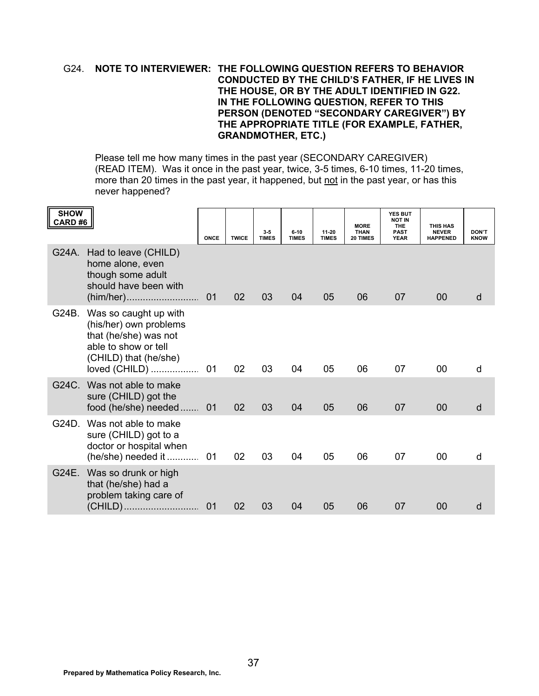#### G24. **NOTE TO INTERVIEWER: THE FOLLOWING QUESTION REFERS TO BEHAVIOR CONDUCTED BY THE CHILD'S FATHER, IF HE LIVES IN THE HOUSE, OR BY THE ADULT IDENTIFIED IN G22. IN THE FOLLOWING QUESTION, REFER TO THIS PERSON (DENOTED "SECONDARY CAREGIVER") BY THE APPROPRIATE TITLE (FOR EXAMPLE, FATHER, GRANDMOTHER, ETC.)**

 Please tell me how many times in the past year (SECONDARY CAREGIVER) (READ ITEM). Was it once in the past year, twice, 3-5 times, 6-10 times, 11-20 times, more than 20 times in the past year, it happened, but not in the past year, or has this never happened?

| <b>SHOW</b><br>CARD #6 |                                                                                                                                            | ONCE | <b>TWICE</b> | $3-5$<br><b>TIMES</b> | $6 - 10$<br><b>TIMES</b> | 11-20<br><b>TIMES</b> | <b>MORE</b><br>THAN<br>20 TIMES | <b>YES BUT</b><br><b>NOT IN</b><br><b>THE</b><br>PAST<br><b>YEAR</b> | THIS HAS<br><b>NEVER</b><br><b>HAPPENED</b> | <b>DON'T</b><br><b>KNOW</b> |
|------------------------|--------------------------------------------------------------------------------------------------------------------------------------------|------|--------------|-----------------------|--------------------------|-----------------------|---------------------------------|----------------------------------------------------------------------|---------------------------------------------|-----------------------------|
| G24A.                  | Had to leave (CHILD)<br>home alone, even<br>though some adult<br>should have been with                                                     | 01   | 02           | 03                    | 04                       | 05                    | 06                              | 07                                                                   | 00                                          | d                           |
| G24B.                  | Was so caught up with<br>(his/her) own problems<br>that (he/she) was not<br>able to show or tell<br>(CHILD) that (he/she)<br>loved (CHILD) | 01   | 02           | 03                    | 04                       | 05                    | 06                              | 07                                                                   | 00                                          | d                           |
| G24C                   | Was not able to make<br>sure (CHILD) got the<br>food (he/she) needed 01                                                                    |      | 02           | 03                    | 04                       | 05                    | 06                              | 07                                                                   | 00                                          | d                           |
| G24D.                  | Was not able to make<br>sure (CHILD) got to a<br>doctor or hospital when<br>$(he/she)$ needed it                                           | 01   | 02           | 03                    | 04                       | 05                    | 06                              | 07                                                                   | 00                                          | d                           |
| G24E.                  | Was so drunk or high<br>that (he/she) had a<br>problem taking care of<br>(CHILD)                                                           | 01   | 02           | 03                    | 04                       | 05                    | 06                              | 07                                                                   | 00                                          | d                           |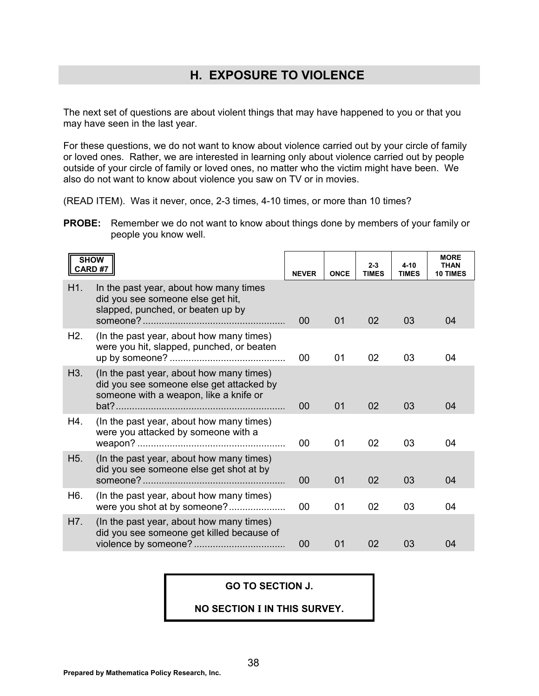## **H. EXPOSURE TO VIOLENCE**

The next set of questions are about violent things that may have happened to you or that you may have seen in the last year.

For these questions, we do not want to know about violence carried out by your circle of family or loved ones. Rather, we are interested in learning only about violence carried out by people outside of your circle of family or loved ones, no matter who the victim might have been. We also do not want to know about violence you saw on TV or in movies.

(READ ITEM). Was it never, once, 2-3 times, 4-10 times, or more than 10 times?

**PROBE:** Remember we do not want to know about things done by members of your family or people you know well.

| <b>SHOW</b><br><b>CARD#7</b> |                                                                                                                                | <b>NEVER</b> | <b>ONCE</b> | $2 - 3$<br><b>TIMES</b> | $4 - 10$<br><b>TIMES</b> | <b>MORE</b><br><b>THAN</b><br><b>10 TIMES</b> |
|------------------------------|--------------------------------------------------------------------------------------------------------------------------------|--------------|-------------|-------------------------|--------------------------|-----------------------------------------------|
| H1.                          | In the past year, about how many times<br>did you see someone else get hit,<br>slapped, punched, or beaten up by               | 00           | 01          | 02                      | 03                       | 04                                            |
| H2.                          | (In the past year, about how many times)<br>were you hit, slapped, punched, or beaten                                          | 00           | 01          | 02                      | 03                       | 04                                            |
| H3.                          | (In the past year, about how many times)<br>did you see someone else get attacked by<br>someone with a weapon, like a knife or | 00           | 01          | 02                      | 03                       | 04                                            |
| H4.                          | (In the past year, about how many times)<br>were you attacked by someone with a                                                | 00           | 01          | 02                      | 03                       | 04                                            |
| H <sub>5.</sub>              | (In the past year, about how many times)<br>did you see someone else get shot at by                                            | 00           | 01          | 02                      | 03                       | 04                                            |
| H6.                          | (In the past year, about how many times)<br>were you shot at by someone?                                                       | 00           | 01          | 02                      | 03                       | 04                                            |
| H7.                          | (In the past year, about how many times)<br>did you see someone get killed because of                                          | 00           | 01          | 02                      | 03                       | 04                                            |

#### **GO TO SECTION J.**

#### **NO SECTION I IN THIS SURVEY.**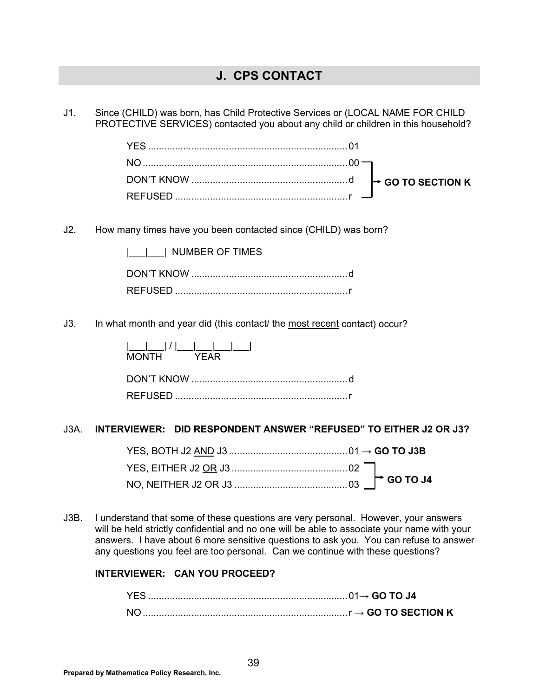## **J. CPS CONTACT**

J1. Since (CHILD) was born, has Child Protective Services or (LOCAL NAME FOR CHILD PROTECTIVE SERVICES) contacted you about any child or children in this household?

| DON'T KNOW $\ldots$ $\ldots$ $\ldots$ $\ldots$ $\ldots$ $\ldots$ $\ldots$ $\ldots$ $\ldots$ $\ldots$ $\ldots$ $\vdots$ GO TO SECTION K |  |
|----------------------------------------------------------------------------------------------------------------------------------------|--|
|                                                                                                                                        |  |

J2. How many times have you been contacted since (CHILD) was born?

| NUMBER OF TIMES |  |
|-----------------|--|
|                 |  |
|                 |  |

J3. In what month and year did (this contact/ the most recent contact) occur?

| $\begin{bmatrix} 1 & 1 & 1 \\ 1 & 1 & 1 \end{bmatrix}$<br>MONTH YFAR |  |
|----------------------------------------------------------------------|--|
|                                                                      |  |
|                                                                      |  |

#### J3A. **INTERVIEWER: DID RESPONDENT ANSWER "REFUSED" TO EITHER J2 OR J3?**

J3B. I understand that some of these questions are very personal. However, your answers will be held strictly confidential and no one will be able to associate your name with your answers. I have about 6 more sensitive questions to ask you. You can refuse to answer any questions you feel are too personal. Can we continue with these questions?

#### **INTERVIEWER: CAN YOU PROCEED?**

|  | $\mathsf{r} \rightarrow$ GO TO SECTION K |
|--|------------------------------------------|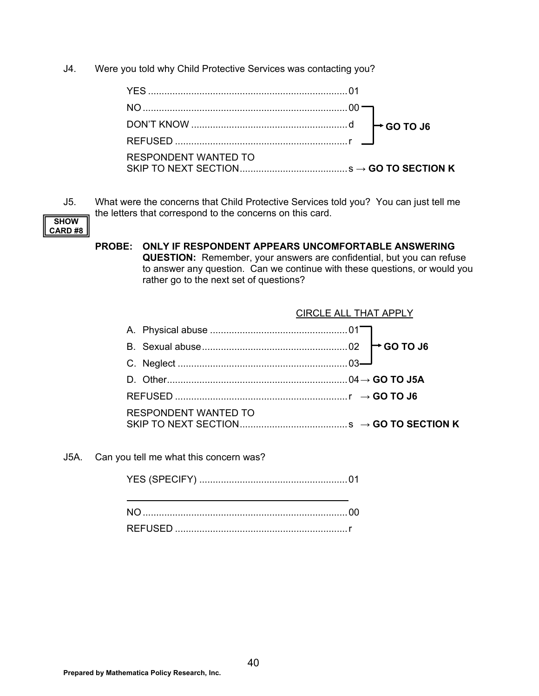J4. Were you told why Child Protective Services was contacting you?

| <b>RESPONDENT WANTED TO</b> |  |
|-----------------------------|--|

J5. What were the concerns that Child Protective Services told you? You can just tell me the letters that correspond to the concerns on this card.



#### **PROBE: ONLY IF RESPONDENT APPEARS UNCOMFORTABLE ANSWERING QUESTION:** Remember, your answers are confidential, but you can refuse to answer any question. Can we continue with these questions, or would you rather go to the next set of questions?

|                             | <b>CIRCLE ALL THAT APPLY</b> |
|-----------------------------|------------------------------|
|                             |                              |
|                             |                              |
|                             |                              |
|                             |                              |
|                             |                              |
| <b>RESPONDENT WANTED TO</b> |                              |

J5A. Can you tell me what this concern was?

YES (SPECIFY) ....................................................... 01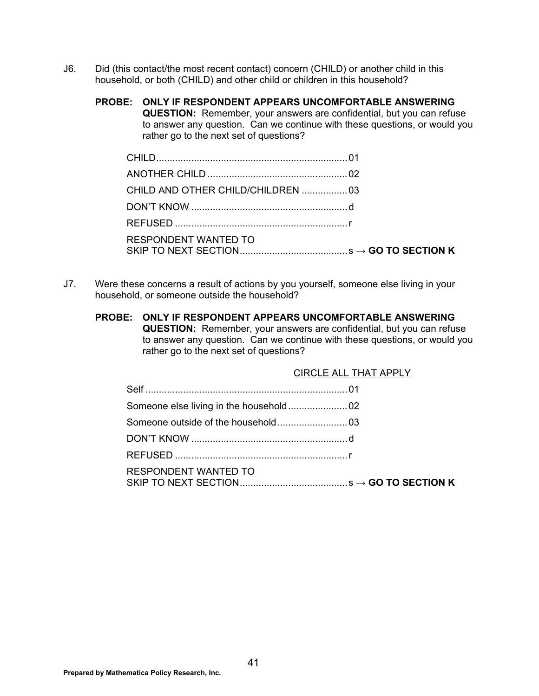- J6. Did (this contact/the most recent contact) concern (CHILD) or another child in this household, or both (CHILD) and other child or children in this household?
	- **PROBE: ONLY IF RESPONDENT APPEARS UNCOMFORTABLE ANSWERING QUESTION:** Remember, your answers are confidential, but you can refuse to answer any question. Can we continue with these questions, or would you rather go to the next set of questions?

| CHILD AND OTHER CHILD/CHILDREN  03 |  |
|------------------------------------|--|
|                                    |  |
|                                    |  |
| <b>RESPONDENT WANTED TO</b>        |  |

- J7. Were these concerns a result of actions by you yourself, someone else living in your household, or someone outside the household?
	- **PROBE: ONLY IF RESPONDENT APPEARS UNCOMFORTABLE ANSWERING QUESTION:** Remember, your answers are confidential, but you can refuse to answer any question. Can we continue with these questions, or would you rather go to the next set of questions?

|                             | <b>CIRCLE ALL THAT APPLY</b> |
|-----------------------------|------------------------------|
|                             |                              |
|                             |                              |
|                             |                              |
|                             |                              |
|                             |                              |
| <b>RESPONDENT WANTED TO</b> |                              |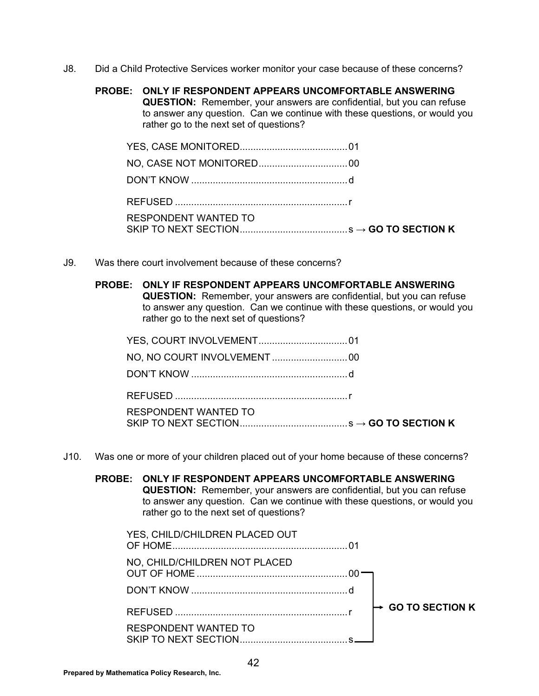J8. Did a Child Protective Services worker monitor your case because of these concerns?

#### **PROBE: ONLY IF RESPONDENT APPEARS UNCOMFORTABLE ANSWERING**

**QUESTION:** Remember, your answers are confidential, but you can refuse to answer any question. Can we continue with these questions, or would you rather go to the next set of questions?

| <b>RESPONDENT WANTED TO</b> |  |
|-----------------------------|--|

J9. Was there court involvement because of these concerns?

# **PROBE: ONLY IF RESPONDENT APPEARS UNCOMFORTABLE ANSWERING**

**QUESTION:** Remember, your answers are confidential, but you can refuse to answer any question. Can we continue with these questions, or would you rather go to the next set of questions?

| RESPONDENT WANTED TO |  |
|----------------------|--|

J10. Was one or more of your children placed out of your home because of these concerns?

#### **PROBE: ONLY IF RESPONDENT APPEARS UNCOMFORTABLE ANSWERING QUESTION:** Remember, your answers are confidential, but you can refuse to answer any question. Can we continue with these questions, or would you rather go to the next set of questions?

| YES, CHILD/CHILDREN PLACED OUT                             |                        |
|------------------------------------------------------------|------------------------|
| NO, CHILD/CHILDREN NOT PLACED                              |                        |
|                                                            |                        |
|                                                            | <b>GO TO SECTION K</b> |
| <b>RESPONDENT WANTED TO</b><br><b>SKIP TO NEXT SECTION</b> |                        |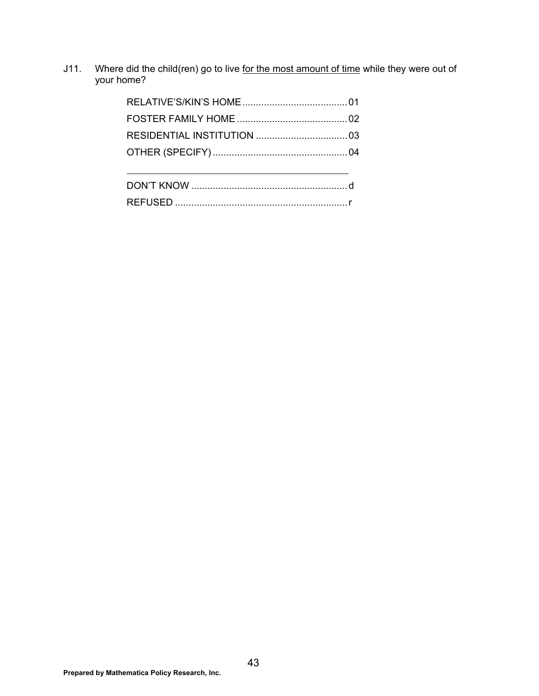J11. Where did the child(ren) go to live for the most amount of time while they were out of your home?

| REELISED |  |
|----------|--|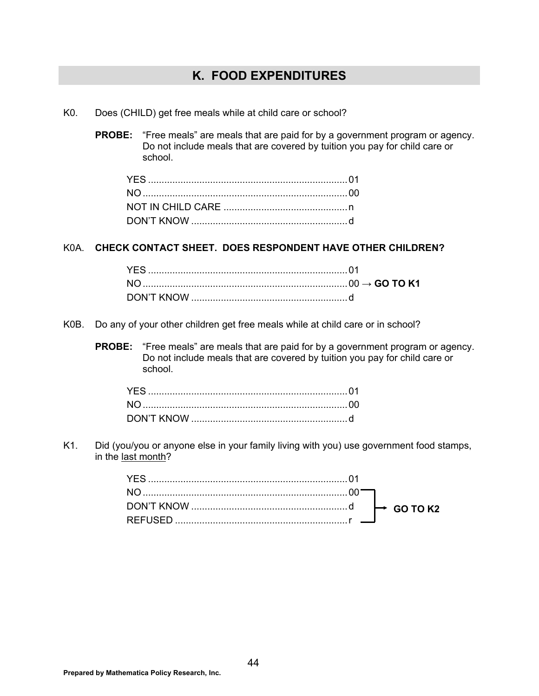## **K. FOOD EXPENDITURES**

- K0. Does (CHILD) get free meals while at child care or school?
	- **PROBE:** "Free meals" are meals that are paid for by a government program or agency. Do not include meals that are covered by tuition you pay for child care or school.

### K0A. **CHECK CONTACT SHEET. DOES RESPONDENT HAVE OTHER CHILDREN?**

- K0B. Do any of your other children get free meals while at child care or in school?
	- **PROBE:** "Free meals" are meals that are paid for by a government program or agency. Do not include meals that are covered by tuition you pay for child care or school.

K1. Did (you/you or anyone else in your family living with you) use government food stamps, in the last month?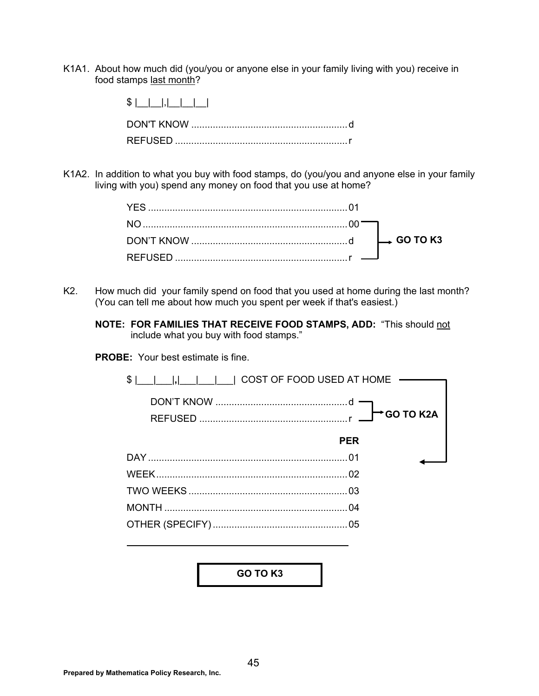K1A1. About how much did (you/you or anyone else in your family living with you) receive in food stamps last month?

| $S$      , |
|------------|
|            |
|            |

K1A2. In addition to what you buy with food stamps, do (you/you and anyone else in your family living with you) spend any money on food that you use at home?

- K2. How much did your family spend on food that you used at home during the last month? (You can tell me about how much you spent per week if that's easiest.)
	- **NOTE: FOR FAMILIES THAT RECEIVE FOOD STAMPS, ADD:** "This should not include what you buy with food stamps."

**PROBE:** Your best estimate is fine.



**GO TO K3**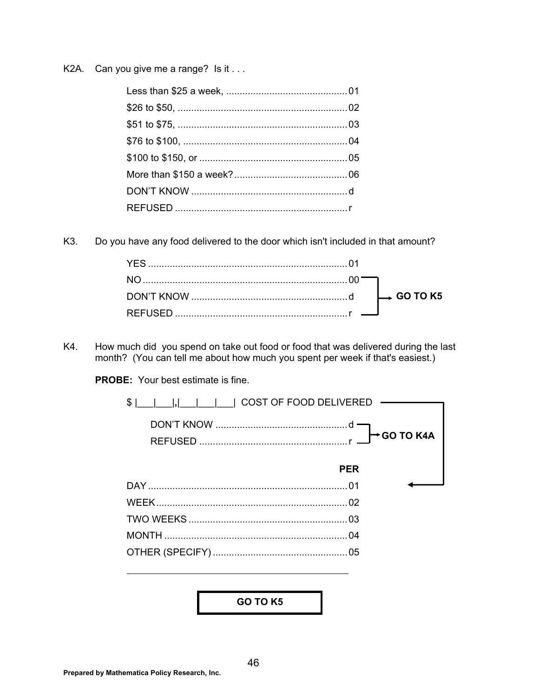K2A. Can you give me a range? Is it . . .

K<sub>3</sub>. Do you have any food delivered to the door which isn't included in that amount?

K4. How much did you spend on take out food or food that was delivered during the last month? (You can tell me about how much you spent per week if that's easiest.)

**PROBE:** Your best estimate is fine.



GO TO K5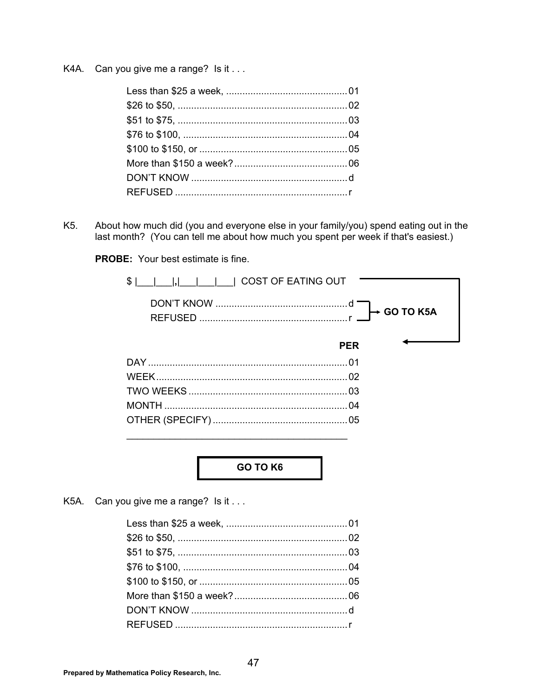K4A. Can you give me a range? Is it . . .

K<sub>5</sub>. About how much did (you and everyone else in your family/you) spend eating out in the last month? (You can tell me about how much you spent per week if that's easiest.)

**PROBE:** Your best estimate is fine.



**GO TO K6** 

K5A. Can you give me a range? Is it . . .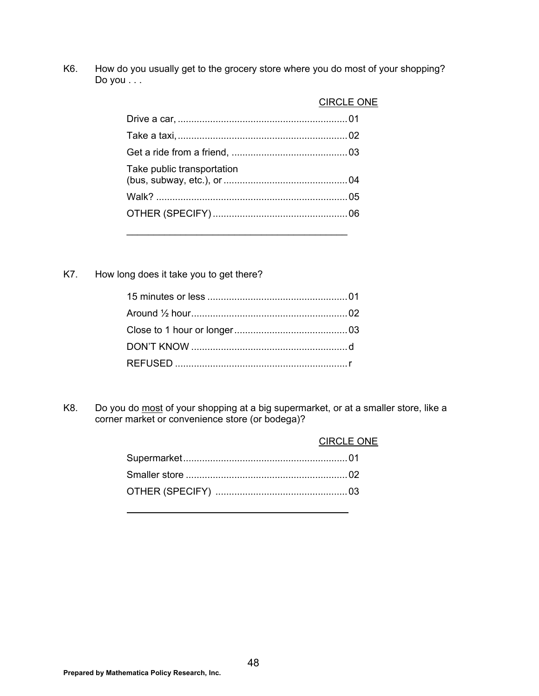K6. How do you usually get to the grocery store where you do most of your shopping? Do you . . .

|                            | <b>CIRCLE ONE</b> |
|----------------------------|-------------------|
|                            |                   |
|                            |                   |
|                            |                   |
| Take public transportation |                   |
|                            |                   |
|                            |                   |
|                            |                   |

K7. How long does it take you to get there?

K8. Do you do most of your shopping at a big supermarket, or at a smaller store, like a corner market or convenience store (or bodega)?

|  | <b>CIRCLE ONE</b> |
|--|-------------------|
|  |                   |
|  |                   |
|  |                   |
|  |                   |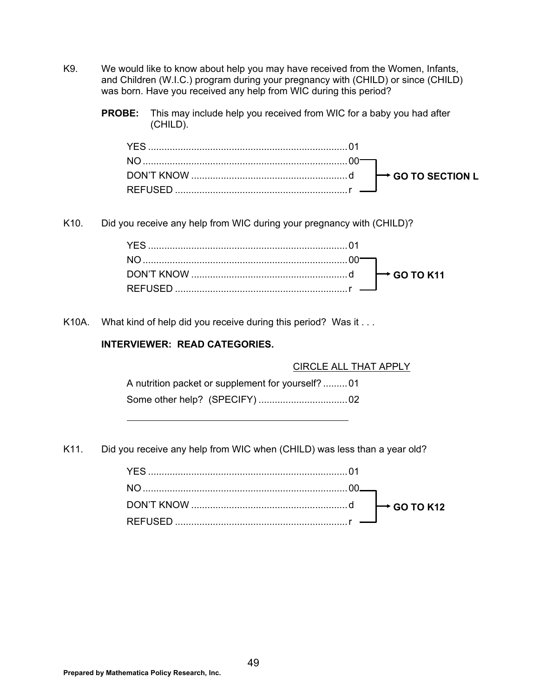- K9. We would like to know about help you may have received from the Women, Infants, and Children (W.I.C.) program during your pregnancy with (CHILD) or since (CHILD) was born. Have you received any help from WIC during this period?
	- **PROBE:** This may include help you received from WIC for a baby you had after (CHILD).

K10. Did you receive any help from WIC during your pregnancy with (CHILD)?

| DON'T KNOW $\ldots$ $\ldots$ $\ldots$ $\ldots$ $\ldots$ $\ldots$ $\ldots$ $\ldots$ $\ldots$ $\ldots$ $\ldots$ $\ldots$ GO TO K11 |
|----------------------------------------------------------------------------------------------------------------------------------|
|                                                                                                                                  |

K10A. What kind of help did you receive during this period? Was it ...

### **INTERVIEWER: READ CATEGORIES.**

CIRCLE ALL THAT APPLY

 A nutrition packet or supplement for yourself? ......... 01 Some other help? (SPECIFY) ................................. 02

K11. Did you receive any help from WIC when (CHILD) was less than a year old?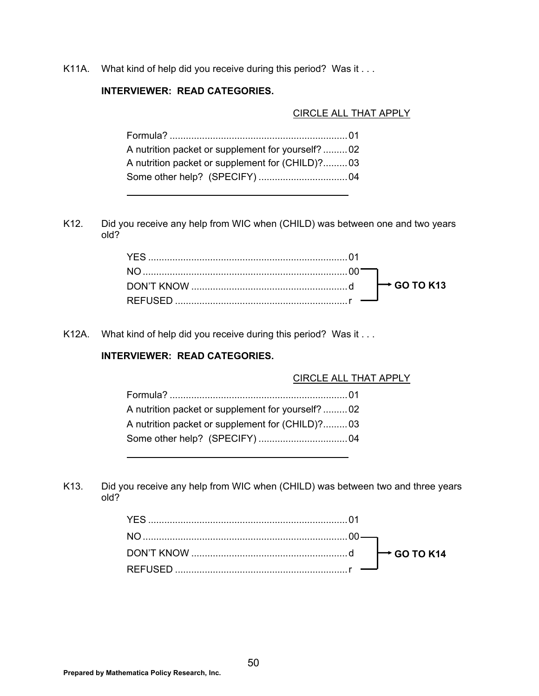K11A. What kind of help did you receive during this period? Was it . . .

## **INTERVIEWER: READ CATEGORIES.**

#### CIRCLE ALL THAT APPLY

| A nutrition packet or supplement for yourself?  02 |
|----------------------------------------------------|
| A nutrition packet or supplement for (CHILD)?03    |
|                                                    |

K12. Did you receive any help from WIC when (CHILD) was between one and two years old?

K12A. What kind of help did you receive during this period? Was it . . .

### **INTERVIEWER: READ CATEGORIES.**

### CIRCLE ALL THAT APPLY

| A nutrition packet or supplement for yourself?02 |
|--------------------------------------------------|
| A nutrition packet or supplement for (CHILD)?03  |
|                                                  |

K13. Did you receive any help from WIC when (CHILD) was between two and three years old?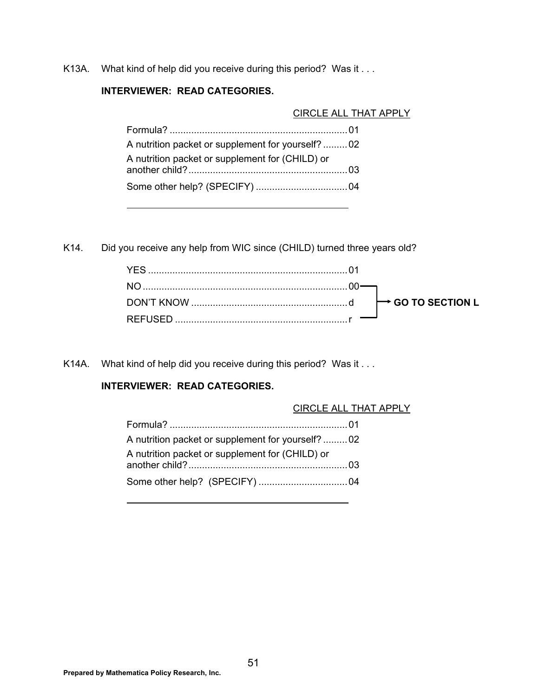K13A. What kind of help did you receive during this period? Was it . . .

### **INTERVIEWER: READ CATEGORIES.**

CIRCLE ALL THAT APPLY

| A nutrition packet or supplement for yourself?02 |  |
|--------------------------------------------------|--|
| A nutrition packet or supplement for (CHILD) or  |  |
|                                                  |  |

K14. Did you receive any help from WIC since (CHILD) turned three years old?

K14A. What kind of help did you receive during this period? Was it . . .

### **INTERVIEWER: READ CATEGORIES.**

### CIRCLE ALL THAT APPLY

| A nutrition packet or supplement for yourself?02 |  |
|--------------------------------------------------|--|
| A nutrition packet or supplement for (CHILD) or  |  |
|                                                  |  |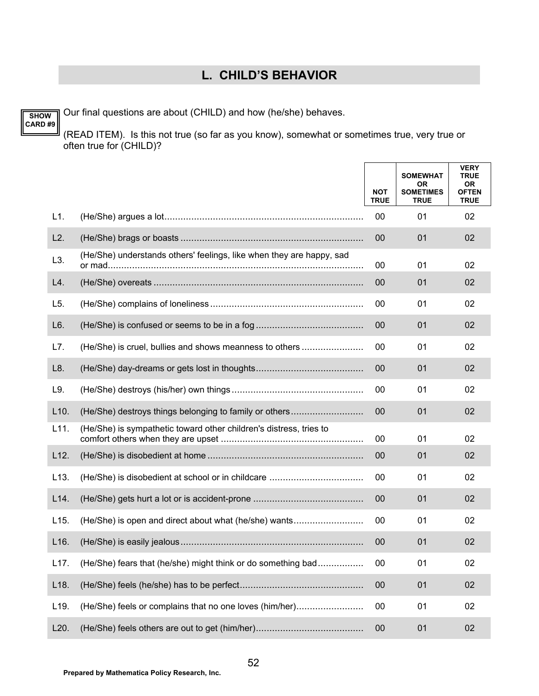## **L. CHILD'S BEHAVIOR**

Our final questions are about (CHILD) and how (he/she) behaves.

**SHOW CARD #9**

(READ ITEM). Is this not true (so far as you know), somewhat or sometimes true, very true or often true for (CHILD)?

|                   |                                                                      | <b>NOT</b><br><b>TRUE</b> | <b>SOMEWHAT</b><br>0R<br><b>SOMETIMES</b><br><b>TRUE</b> | <b>VERY</b><br><b>TRUE</b><br>0R<br><b>OFTEN</b><br><b>TRUE</b> |
|-------------------|----------------------------------------------------------------------|---------------------------|----------------------------------------------------------|-----------------------------------------------------------------|
| L1.               |                                                                      | 00                        | 01                                                       | 02                                                              |
| L2.               |                                                                      | 00                        | 01                                                       | 02                                                              |
| L3.               | (He/She) understands others' feelings, like when they are happy, sad | 00                        | 01                                                       | 02                                                              |
| L4.               |                                                                      | 00                        | 01                                                       | 02                                                              |
| L5.               |                                                                      | 00                        | 01                                                       | 02                                                              |
| L6.               |                                                                      | 00                        | 01                                                       | 02                                                              |
| L7.               | (He/She) is cruel, bullies and shows meanness to others              | 00                        | 01                                                       | 02                                                              |
| L8.               |                                                                      | $00 \,$                   | 01                                                       | 02                                                              |
| L9.               |                                                                      | 00                        | 01                                                       | 02                                                              |
| L10.              | (He/She) destroys things belonging to family or others               | 00                        | 01                                                       | 02                                                              |
| L11.              | (He/She) is sympathetic toward other children's distress, tries to   | 00                        | 01                                                       | 02                                                              |
| L12.              |                                                                      | 00                        | 01                                                       | 02                                                              |
| L13.              |                                                                      | 00                        | 01                                                       | 02                                                              |
| L14.              |                                                                      | 00                        | 01                                                       | 02                                                              |
| L <sub>15</sub> . | (He/She) is open and direct about what (he/she) wants                | 00                        | 01                                                       | 02                                                              |
| L16.              |                                                                      | 00                        | 01                                                       | 02                                                              |
| L17.              | (He/She) fears that (he/she) might think or do something bad         | 00                        | 01                                                       | 02                                                              |
| L <sub>18</sub> . |                                                                      | 00                        | 01                                                       | 02                                                              |
| L19.              | (He/She) feels or complains that no one loves (him/her)              | 00                        | 01                                                       | 02                                                              |
| L20.              |                                                                      | $00\,$                    | 01                                                       | 02                                                              |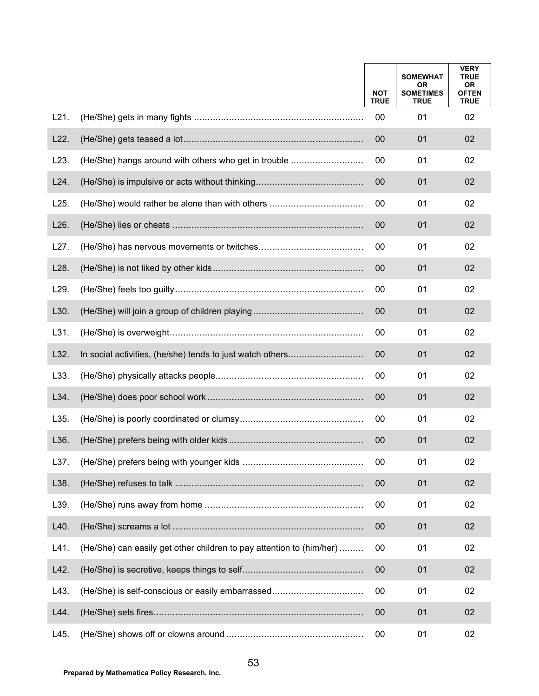|      |                                                                      | <b>NOT</b><br><b>TRUE</b> | <b>SOMEWHAT</b><br>0R<br><b>SOMETIMES</b><br><b>TRUE</b> | <b>VERY</b><br><b>TRUE</b><br>0R<br><b>OFTEN</b><br><b>TRUE</b> |
|------|----------------------------------------------------------------------|---------------------------|----------------------------------------------------------|-----------------------------------------------------------------|
| L21. |                                                                      | 00                        | 01                                                       | 02                                                              |
| L22. |                                                                      | 00                        | 01                                                       | 02                                                              |
| L23. | (He/She) hangs around with others who get in trouble                 | 00                        | 01                                                       | 02                                                              |
| L24. |                                                                      | 00                        | 01                                                       | 02                                                              |
| L25. | (He/She) would rather be alone than with others                      | 00                        | 01                                                       | 02                                                              |
| L26. |                                                                      | 00                        | 01                                                       | 02                                                              |
| L27. |                                                                      | 00                        | 01                                                       | 02                                                              |
| L28. |                                                                      | 00                        | 01                                                       | 02                                                              |
| L29. |                                                                      | 00                        | 01                                                       | 02                                                              |
| L30. |                                                                      | 00                        | 01                                                       | 02                                                              |
| L31. |                                                                      | 00                        | 01                                                       | 02                                                              |
| L32. |                                                                      | 00                        | 01                                                       | 02                                                              |
| L33. |                                                                      | 00                        | 01                                                       | 02                                                              |
| L34. |                                                                      | 00                        | 01                                                       | 02                                                              |
| L35. |                                                                      | 00                        | 01                                                       | 02                                                              |
| L36. |                                                                      | 00                        | 01                                                       | 02                                                              |
| L37. |                                                                      | 00                        | 01                                                       | 02                                                              |
| L38. |                                                                      | 00                        | 01                                                       | 02                                                              |
| L39. |                                                                      | 00                        | 01                                                       | 02                                                              |
| L40. |                                                                      | 00                        | 01                                                       | 02                                                              |
| L41. | (He/She) can easily get other children to pay attention to (him/her) | 00                        | 01                                                       | 02                                                              |
| L42. |                                                                      | 00                        | 01                                                       | 02                                                              |
| L43. | (He/She) is self-conscious or easily embarrassed                     | 00                        | 01                                                       | 02                                                              |
| L44. |                                                                      | 00                        | 01                                                       | 02                                                              |
| L45. |                                                                      | 00                        | 01                                                       | 02                                                              |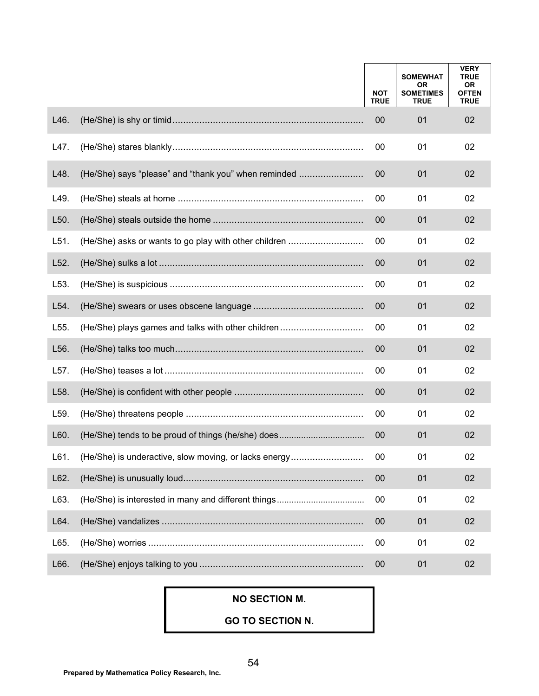|      |                                                       | <b>NOT</b><br><b>TRUE</b> | <b>SOMEWHAT</b><br><b>OR</b><br><b>SOMETIMES</b><br><b>TRUE</b> | <b>VERY</b><br><b>TRUE</b><br>0R<br><b>OFTEN</b><br><b>TRUE</b> |
|------|-------------------------------------------------------|---------------------------|-----------------------------------------------------------------|-----------------------------------------------------------------|
| L46. |                                                       | 00                        | 01                                                              | 02                                                              |
| L47. |                                                       | 00                        | 01                                                              | 02                                                              |
| L48. | (He/She) says "please" and "thank you" when reminded  | 00                        | 01                                                              | 02                                                              |
| L49. |                                                       | 00                        | 01                                                              | 02                                                              |
| L50. |                                                       | 00                        | 01                                                              | 02                                                              |
| L51. | (He/She) asks or wants to go play with other children | 00                        | 01                                                              | 02                                                              |
| L52. |                                                       | 00                        | 01                                                              | 02                                                              |
| L53. |                                                       | 00                        | 01                                                              | 02                                                              |
| L54. |                                                       | 00                        | 01                                                              | 02                                                              |
| L55. | (He/She) plays games and talks with other children    | 00                        | 01                                                              | 02                                                              |
| L56. |                                                       | 00                        | 01                                                              | 02                                                              |
| L57. |                                                       | 00                        | 01                                                              | 02                                                              |
| L58. |                                                       | 00                        | 01                                                              | 02                                                              |
| L59. |                                                       | 00                        | 01                                                              | 02                                                              |
| L60. |                                                       | 00                        | 01                                                              | 02                                                              |
| L61. | (He/She) is underactive, slow moving, or lacks energy | 00                        | 01                                                              | 02                                                              |
| L62. |                                                       | 00                        | 01                                                              | 02                                                              |
| L63. |                                                       | 00                        | 01                                                              | 02                                                              |
| L64. |                                                       | 00                        | 01                                                              | 02                                                              |
| L65. |                                                       | 00                        | 01                                                              | 02                                                              |
| L66. |                                                       | 00                        | 01                                                              | 02                                                              |

## **NO SECTION M.**

**GO TO SECTION N.**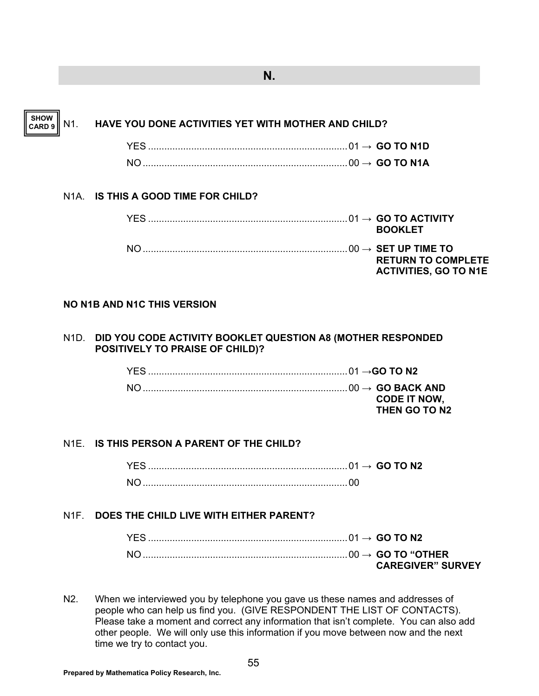## **N.**

**SHOW CARD 9**

## N1. **HAVE YOU DONE ACTIVITIES YET WITH MOTHER AND CHILD?**

| $\sim$ 60 TO N1D |  |
|------------------|--|
|                  |  |

## N1A. **IS THIS A GOOD TIME FOR CHILD?**

|  | <b>BOOKLET</b>                                            |
|--|-----------------------------------------------------------|
|  | <b>RETURN TO COMPLETE</b><br><b>ACTIVITIES, GO TO N1E</b> |

## **NO N1B AND N1C THIS VERSION**

#### N1D. **DID YOU CODE ACTIVITY BOOKLET QUESTION A8 (MOTHER RESPONDED POSITIVELY TO PRAISE OF CHILD)?**

| YES. |                     |
|------|---------------------|
|      |                     |
|      | <b>CODE IT NOW.</b> |
|      | THEN GO TO N2       |

## N1E. **IS THIS PERSON A PARENT OF THE CHILD?**

 YES .......................................................................... 01 **→ GO TO N2** NO ............................................................................ 00

## N1F. **DOES THE CHILD LIVE WITH EITHER PARENT?**

| <b>CAREGIVER" SURVEY</b> |
|--------------------------|

N2. When we interviewed you by telephone you gave us these names and addresses of people who can help us find you. (GIVE RESPONDENT THE LIST OF CONTACTS). Please take a moment and correct any information that isn't complete. You can also add other people. We will only use this information if you move between now and the next time we try to contact you.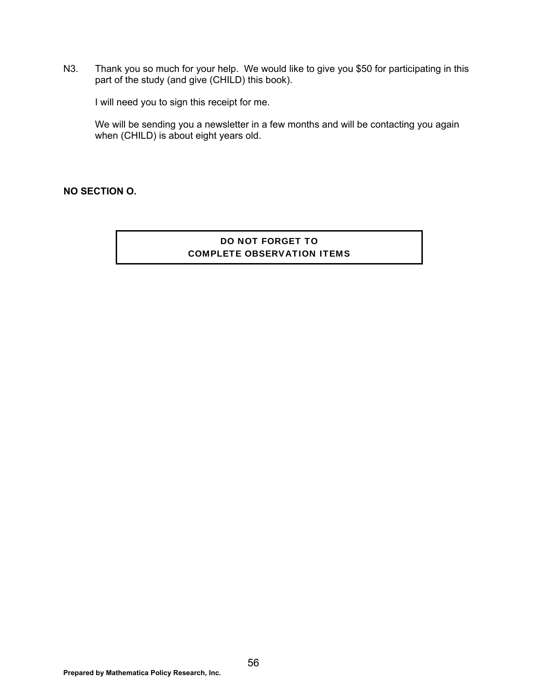N3. Thank you so much for your help. We would like to give you \$50 for participating in this part of the study (and give (CHILD) this book).

I will need you to sign this receipt for me.

 We will be sending you a newsletter in a few months and will be contacting you again when (CHILD) is about eight years old.

### **NO SECTION O.**

## DO NOT FORGET TO COMPLETE OBSERVATION ITEMS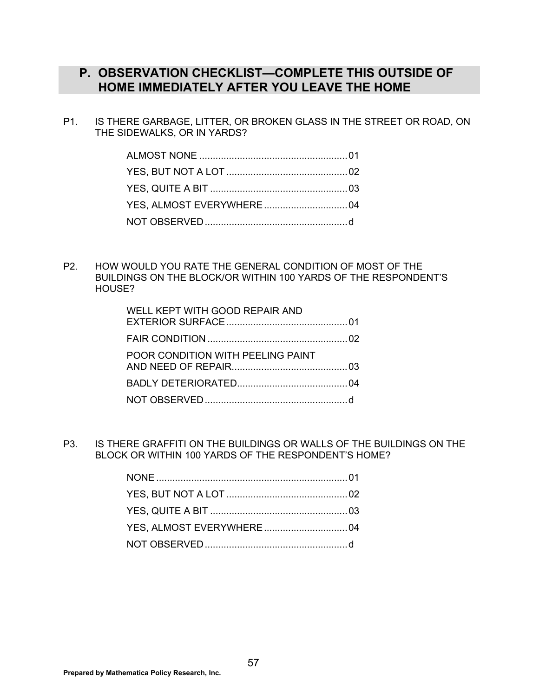## **P. OBSERVATION CHECKLIST—COMPLETE THIS OUTSIDE OF HOME IMMEDIATELY AFTER YOU LEAVE THE HOME**

P1. IS THERE GARBAGE, LITTER, OR BROKEN GLASS IN THE STREET OR ROAD, ON THE SIDEWALKS, OR IN YARDS?

P2. HOW WOULD YOU RATE THE GENERAL CONDITION OF MOST OF THE BUILDINGS ON THE BLOCK/OR WITHIN 100 YARDS OF THE RESPONDENT'S HOUSE?

| WELL KEPT WITH GOOD REPAIR AND    |  |
|-----------------------------------|--|
|                                   |  |
| POOR CONDITION WITH PEELING PAINT |  |
|                                   |  |
|                                   |  |

P3. IS THERE GRAFFITI ON THE BUILDINGS OR WALLS OF THE BUILDINGS ON THE BLOCK OR WITHIN 100 YARDS OF THE RESPONDENT'S HOME?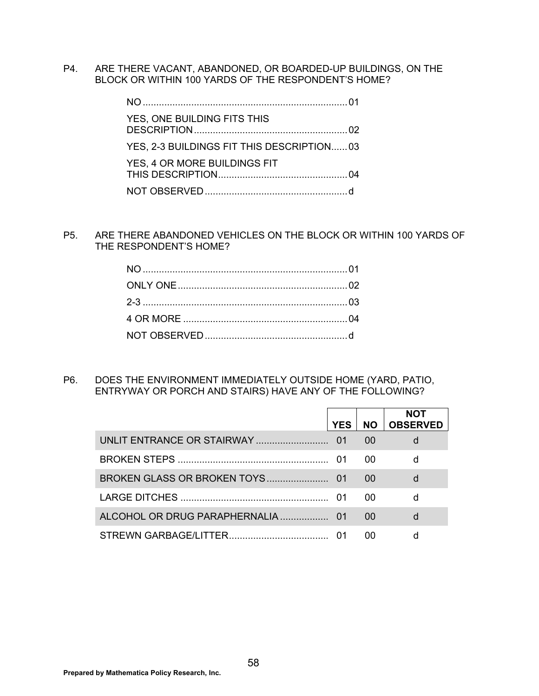P4. ARE THERE VACANT, ABANDONED, OR BOARDED-UP BUILDINGS, ON THE BLOCK OR WITHIN 100 YARDS OF THE RESPONDENT'S HOME?

| YES, ONE BUILDING FITS THIS               |  |
|-------------------------------------------|--|
| YES, 2-3 BUILDINGS FIT THIS DESCRIPTION03 |  |
| YES, 4 OR MORE BUILDINGS FIT              |  |
|                                           |  |

P5. ARE THERE ABANDONED VEHICLES ON THE BLOCK OR WITHIN 100 YARDS OF THE RESPONDENT'S HOME?

P6. DOES THE ENVIRONMENT IMMEDIATELY OUTSIDE HOME (YARD, PATIO, ENTRYWAY OR PORCH AND STAIRS) HAVE ANY OF THE FOLLOWING?

| <b>YES</b> | <b>NO</b> | NOT<br><b>OBSERVED</b> |
|------------|-----------|------------------------|
|            | 00        |                        |
|            | 00        |                        |
|            | 00        | d                      |
|            | 00        |                        |
|            | 00        |                        |
|            | ററ        |                        |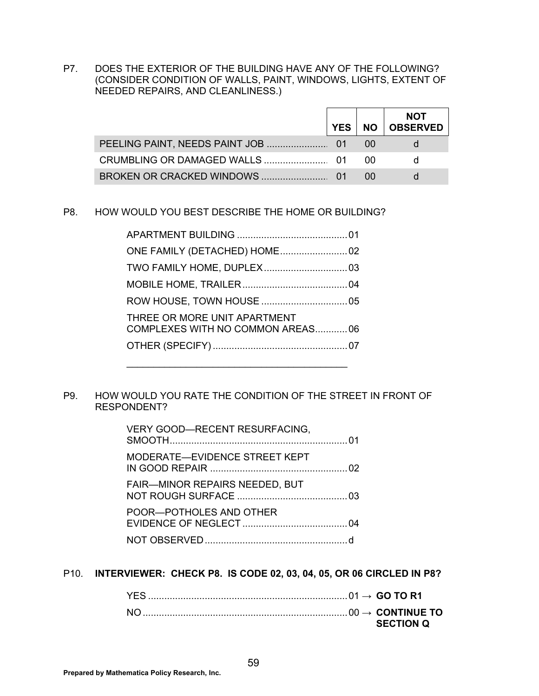P7. DOES THE EXTERIOR OF THE BUILDING HAVE ANY OF THE FOLLOWING? (CONSIDER CONDITION OF WALLS, PAINT, WINDOWS, LIGHTS, EXTENT OF NEEDED REPAIRS, AND CLEANLINESS.)

| <b>YES</b> I | <b>NOT</b><br>NO   OBSERVED |
|--------------|-----------------------------|
|              |                             |
|              |                             |
|              |                             |

#### P8. HOW WOULD YOU BEST DESCRIBE THE HOME OR BUILDING?

| THREE OR MORE UNIT APARTMENT<br>COMPLEXES WITH NO COMMON AREAS06 |  |
|------------------------------------------------------------------|--|
|                                                                  |  |
|                                                                  |  |

#### P9. HOW WOULD YOU RATE THE CONDITION OF THE STREET IN FRONT OF RESPONDENT?

| VERY GOOD-RECENT RESURFACING,         |  |
|---------------------------------------|--|
| MODERATE-EVIDENCE STREET KEPT         |  |
| <b>FAIR-MINOR REPAIRS NEEDED, BUT</b> |  |
| POOR—POTHOLES AND OTHER               |  |
|                                       |  |

#### P10. **INTERVIEWER: CHECK P8. IS CODE 02, 03, 04, 05, OR 06 CIRCLED IN P8?**

|  | <b>SECTION O</b> |
|--|------------------|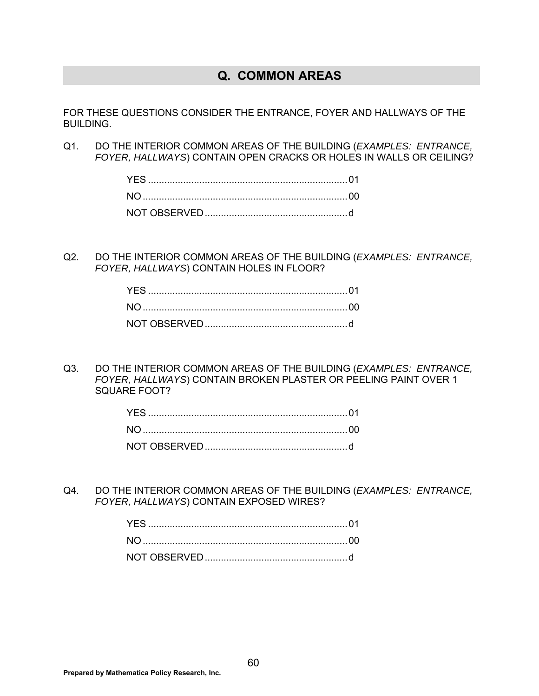## **Q. COMMON AREAS**

FOR THESE QUESTIONS CONSIDER THE ENTRANCE, FOYER AND HALLWAYS OF THE BUILDING.

Q1. DO THE INTERIOR COMMON AREAS OF THE BUILDING (*EXAMPLES: ENTRANCE, FOYER, HALLWAYS*) CONTAIN OPEN CRACKS OR HOLES IN WALLS OR CEILING?

Q2. DO THE INTERIOR COMMON AREAS OF THE BUILDING (*EXAMPLES: ENTRANCE, FOYER, HALLWAYS*) CONTAIN HOLES IN FLOOR?

Q3. DO THE INTERIOR COMMON AREAS OF THE BUILDING (*EXAMPLES: ENTRANCE, FOYER, HALLWAYS*) CONTAIN BROKEN PLASTER OR PEELING PAINT OVER 1 SQUARE FOOT?

Q4. DO THE INTERIOR COMMON AREAS OF THE BUILDING (*EXAMPLES: ENTRANCE, FOYER, HALLWAYS*) CONTAIN EXPOSED WIRES?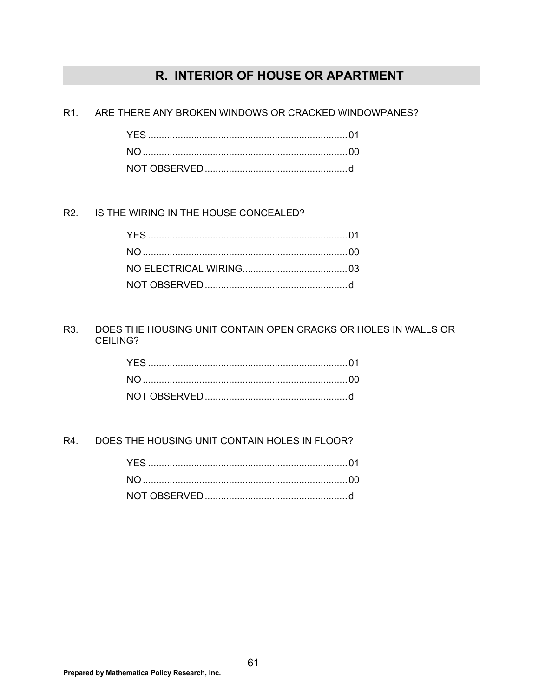## R. INTERIOR OF HOUSE OR APARTMENT

R<sub>1</sub> ARE THERE ANY BROKEN WINDOWS OR CRACKED WINDOWPANES?

R<sub>2</sub>. IS THE WIRING IN THE HOUSE CONCEALED?

R3. DOES THE HOUSING UNIT CONTAIN OPEN CRACKS OR HOLES IN WALLS OR CEILING?

R4. DOES THE HOUSING UNIT CONTAIN HOLES IN FLOOR?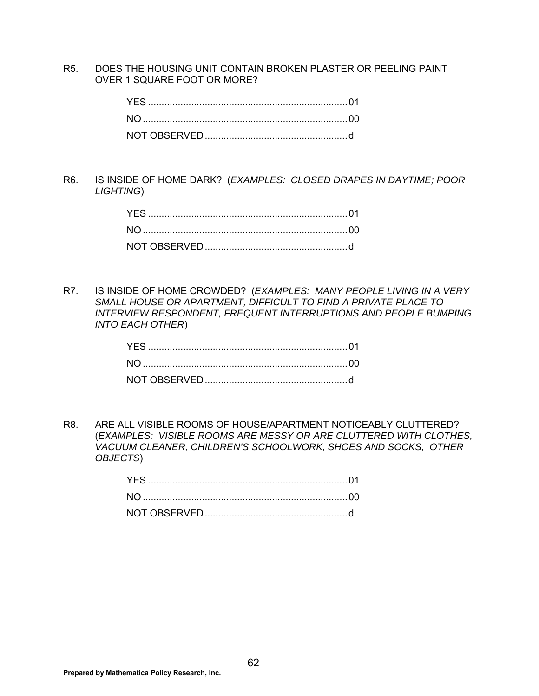R5. DOES THE HOUSING UNIT CONTAIN BROKEN PLASTER OR PEELING PAINT OVER 1 SQUARE FOOT OR MORE?

R6. IS INSIDE OF HOME DARK? (*EXAMPLES: CLOSED DRAPES IN DAYTIME; POOR LIGHTING*)

R7. IS INSIDE OF HOME CROWDED? (*EXAMPLES: MANY PEOPLE LIVING IN A VERY SMALL HOUSE OR APARTMENT, DIFFICULT TO FIND A PRIVATE PLACE TO INTERVIEW RESPONDENT, FREQUENT INTERRUPTIONS AND PEOPLE BUMPING INTO EACH OTHER*)

R8. ARE ALL VISIBLE ROOMS OF HOUSE/APARTMENT NOTICEABLY CLUTTERED? (*EXAMPLES: VISIBLE ROOMS ARE MESSY OR ARE CLUTTERED WITH CLOTHES, VACUUM CLEANER, CHILDREN'S SCHOOLWORK, SHOES AND SOCKS, OTHER OBJECTS*)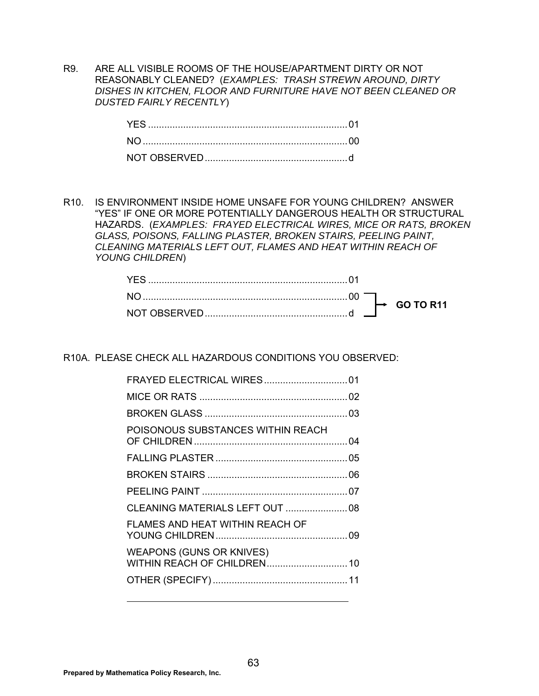R9. ARE ALL VISIBLE ROOMS OF THE HOUSE/APARTMENT DIRTY OR NOT REASONABLY CLEANED? (*EXAMPLES: TRASH STREWN AROUND, DIRTY DISHES IN KITCHEN, FLOOR AND FURNITURE HAVE NOT BEEN CLEANED OR DUSTED FAIRLY RECENTLY*)

R10. IS ENVIRONMENT INSIDE HOME UNSAFE FOR YOUNG CHILDREN? ANSWER "YES" IF ONE OR MORE POTENTIALLY DANGEROUS HEALTH OR STRUCTURAL HAZARDS. (*EXAMPLES: FRAYED ELECTRICAL WIRES, MICE OR RATS, BROKEN GLASS, POISONS, FALLING PLASTER, BROKEN STAIRS, PEELING PAINT, CLEANING MATERIALS LEFT OUT, FLAMES AND HEAT WITHIN REACH OF YOUNG CHILDREN*)

R10A. PLEASE CHECK ALL HAZARDOUS CONDITIONS YOU OBSERVED:

| POISONOUS SUBSTANCES WITHIN REACH      |  |
|----------------------------------------|--|
|                                        |  |
|                                        |  |
|                                        |  |
|                                        |  |
| <b>FLAMES AND HEAT WITHIN REACH OF</b> |  |
| <b>WEAPONS (GUNS OR KNIVES)</b>        |  |
|                                        |  |
|                                        |  |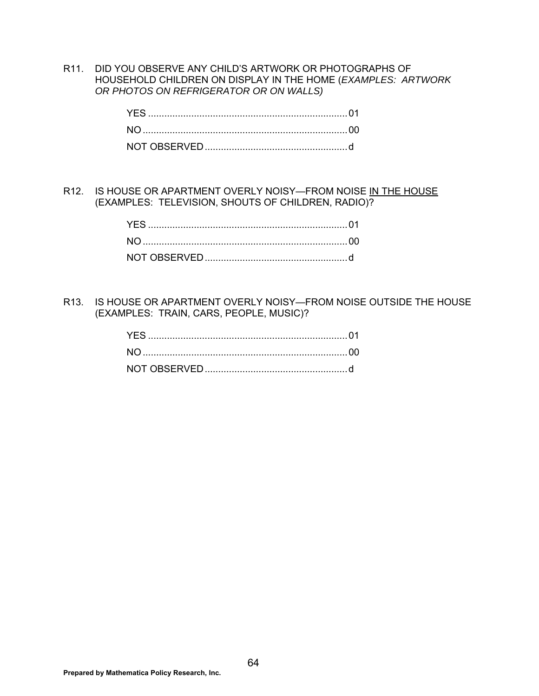R11. DID YOU OBSERVE ANY CHILD'S ARTWORK OR PHOTOGRAPHS OF HOUSEHOLD CHILDREN ON DISPLAY IN THE HOME (*EXAMPLES: ARTWORK OR PHOTOS ON REFRIGERATOR OR ON WALLS)* 

R12. IS HOUSE OR APARTMENT OVERLY NOISY-FROM NOISE IN THE HOUSE (EXAMPLES: TELEVISION, SHOUTS OF CHILDREN, RADIO)?

R13. IS HOUSE OR APARTMENT OVERLY NOISY—FROM NOISE OUTSIDE THE HOUSE (EXAMPLES: TRAIN, CARS, PEOPLE, MUSIC)?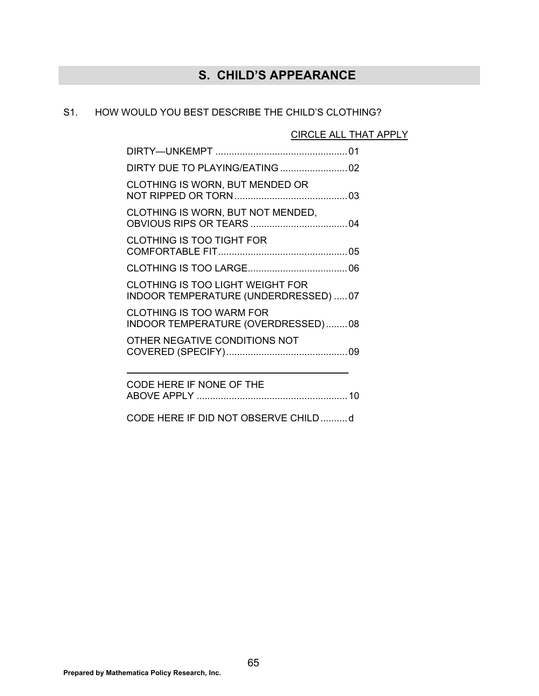## **S. CHILD'S APPEARANCE**

### S1. HOW WOULD YOU BEST DESCRIBE THE CHILD'S CLOTHING?

CIRCLE ALL THAT APPLY

| CLOTHING IS WORN, BUT MENDED OR                                                  |
|----------------------------------------------------------------------------------|
| CLOTHING IS WORN, BUT NOT MENDED,                                                |
| <b>CLOTHING IS TOO TIGHT FOR</b>                                                 |
|                                                                                  |
| <b>CLOTHING IS TOO LIGHT WEIGHT FOR</b><br>INDOOR TEMPERATURE (UNDERDRESSED)  07 |
| <b>CLOTHING IS TOO WARM FOR</b><br>INDOOR TEMPERATURE (OVERDRESSED)08            |
| OTHER NEGATIVE CONDITIONS NOT                                                    |
|                                                                                  |
| CODE HERE IF NONE OF THE                                                         |

CODE HERE IF DID NOT OBSERVE CHILD .......... d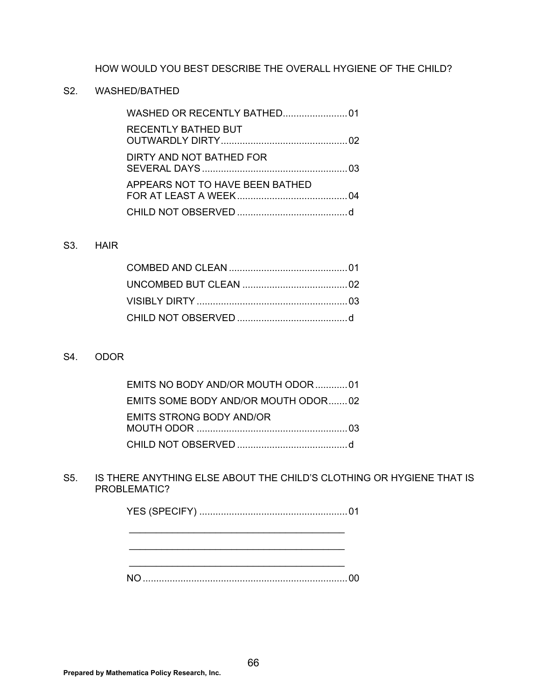HOW WOULD YOU BEST DESCRIBE THE OVERALL HYGIENE OF THE CHILD?

### S2. WASHED/BATHED

| <b>RECENTLY BATHED BUT</b>      |  |
|---------------------------------|--|
| DIRTY AND NOT BATHED FOR        |  |
| APPEARS NOT TO HAVE BEEN BATHED |  |
|                                 |  |

#### S3. HAIR

### S4. ODOR

| EMITS NO BODY AND/OR MOUTH ODOR01   |
|-------------------------------------|
| EMITS SOME BODY AND/OR MOUTH ODOR02 |
| EMITS STRONG BODY AND/OR            |
|                                     |

### S5. IS THERE ANYTHING ELSE ABOUT THE CHILD'S CLOTHING OR HYGIENE THAT IS PROBLEMATIC?

 \_\_\_\_\_\_\_\_\_\_\_\_\_\_\_\_\_\_\_\_\_\_\_\_\_\_\_\_\_\_\_\_\_\_\_\_\_\_\_\_ \_\_\_\_\_\_\_\_\_\_\_\_\_\_\_\_\_\_\_\_\_\_\_\_\_\_\_\_\_\_\_\_\_\_\_\_\_\_\_\_

NO ............................................................................ 00

 $\mathcal{L}_\mathcal{L}$  , which is a set of the set of the set of the set of the set of the set of the set of the set of the set of the set of the set of the set of the set of the set of the set of the set of the set of the set of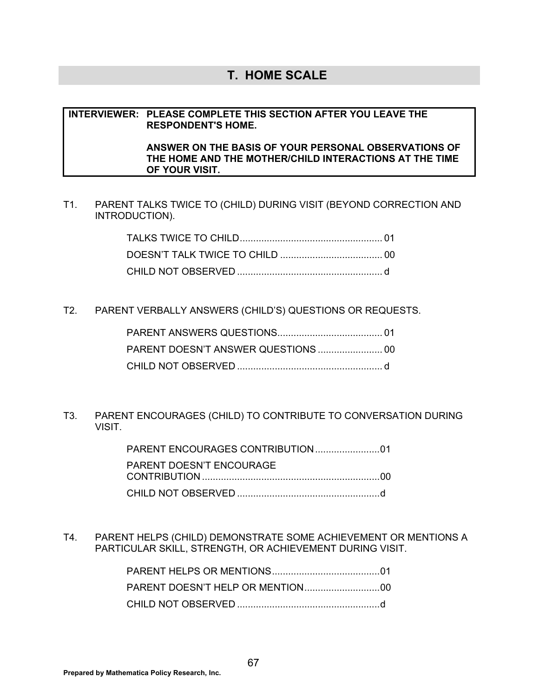## **T. HOME SCALE**

#### **INTERVIEWER: PLEASE COMPLETE THIS SECTION AFTER YOU LEAVE THE RESPONDENT'S HOME.**

#### **ANSWER ON THE BASIS OF YOUR PERSONAL OBSERVATIONS OF THE HOME AND THE MOTHER/CHILD INTERACTIONS AT THE TIME OF YOUR VISIT.**

T1. PARENT TALKS TWICE TO (CHILD) DURING VISIT (BEYOND CORRECTION AND INTRODUCTION).

T2. PARENT VERBALLY ANSWERS (CHILD'S) QUESTIONS OR REQUESTS.

T3. PARENT ENCOURAGES (CHILD) TO CONTRIBUTE TO CONVERSATION DURING VISIT.

| PARENT DOESN'T ENCOURAGE |
|--------------------------|
|                          |
|                          |

T4. PARENT HELPS (CHILD) DEMONSTRATE SOME ACHIEVEMENT OR MENTIONS A PARTICULAR SKILL, STRENGTH, OR ACHIEVEMENT DURING VISIT.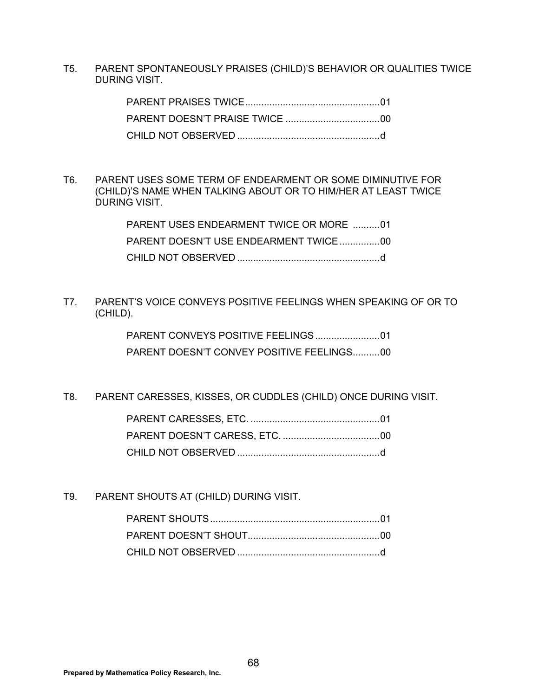T5. PARENT SPONTANEOUSLY PRAISES (CHILD)'S BEHAVIOR OR QUALITIES TWICE DURING VISIT.

T6. PARENT USES SOME TERM OF ENDEARMENT OR SOME DIMINUTIVE FOR (CHILD)'S NAME WHEN TALKING ABOUT OR TO HIM/HER AT LEAST TWICE DURING VISIT.

| PARENT USES ENDEARMENT TWICE OR MORE 01 |
|-----------------------------------------|
|                                         |
|                                         |

T7. PARENT'S VOICE CONVEYS POSITIVE FEELINGS WHEN SPEAKING OF OR TO (CHILD).

> PARENT CONVEYS POSITIVE FEELINGS ........................ 01 PARENT DOESN'T CONVEY POSITIVE FEELINGS...........00

T8. PARENT CARESSES, KISSES, OR CUDDLES (CHILD) ONCE DURING VISIT.

T9. PARENT SHOUTS AT (CHILD) DURING VISIT.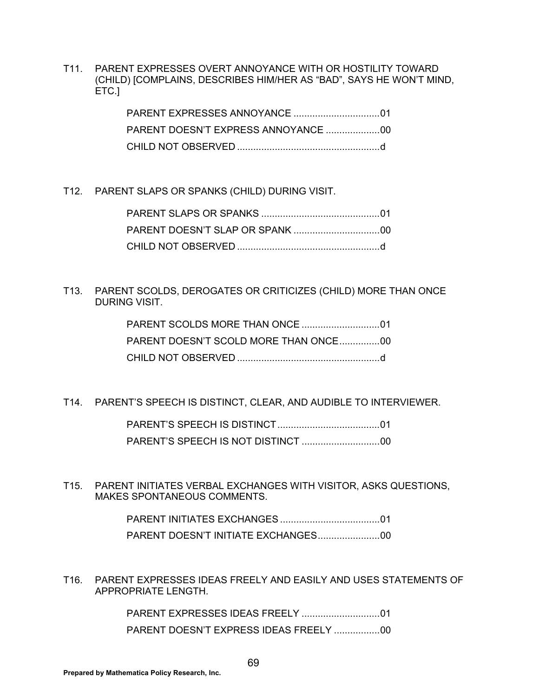T11. PARENT EXPRESSES OVERT ANNOYANCE WITH OR HOSTILITY TOWARD (CHILD) [COMPLAINS, DESCRIBES HIM/HER AS "BAD", SAYS HE WON'T MIND, ETC.]

### T12. PARENT SLAPS OR SPANKS (CHILD) DURING VISIT.

### T13. PARENT SCOLDS, DEROGATES OR CRITICIZES (CHILD) MORE THAN ONCE DURING VISIT.

| PARENT DOESN'T SCOLD MORE THAN ONCE00 |
|---------------------------------------|
|                                       |

T14. PARENT'S SPEECH IS DISTINCT, CLEAR, AND AUDIBLE TO INTERVIEWER.

 PARENT'S SPEECH IS DISTINCT ...................................... 01 PARENT'S SPEECH IS NOT DISTINCT ............................. 00

T15. PARENT INITIATES VERBAL EXCHANGES WITH VISITOR, ASKS QUESTIONS, MAKES SPONTANEOUS COMMENTS.

T16. PARENT EXPRESSES IDEAS FREELY AND EASILY AND USES STATEMENTS OF APPROPRIATE LENGTH.

> PARENT EXPRESSES IDEAS FREELY ............................. 01 PARENT DOESN'T EXPRESS IDEAS FREELY ................. 00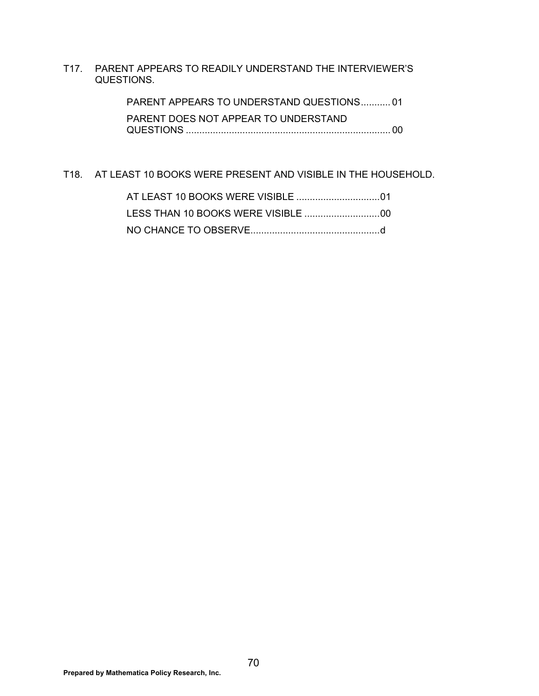T17. PARENT APPEARS TO READILY UNDERSTAND THE INTERVIEWER'S QUESTIONS.

> PARENT APPEARS TO UNDERSTAND QUESTIONS ........... 01 PARENT DOES NOT APPEAR TO UNDERSTAND QUESTIONS ............................................................................ 00

### T18. AT LEAST 10 BOOKS WERE PRESENT AND VISIBLE IN THE HOUSEHOLD.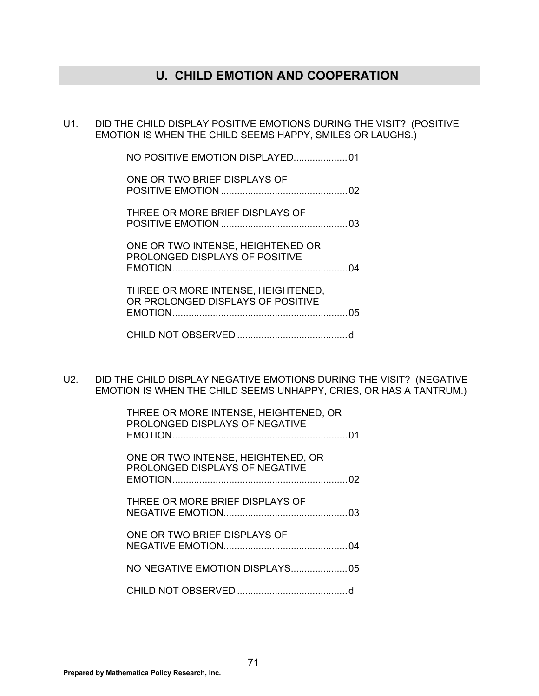## **U. CHILD EMOTION AND COOPERATION**

U1. DID THE CHILD DISPLAY POSITIVE EMOTIONS DURING THE VISIT? (POSITIVE EMOTION IS WHEN THE CHILD SEEMS HAPPY, SMILES OR LAUGHS.)

| ONE OR TWO BRIEF DISPLAYS OF                                            |  |
|-------------------------------------------------------------------------|--|
| THREE OR MORE BRIEF DISPLAYS OF                                         |  |
| ONE OR TWO INTENSE, HEIGHTENED OR<br>PROLONGED DISPLAYS OF POSITIVE     |  |
| THREE OR MORE INTENSE, HEIGHTENED,<br>OR PROLONGED DISPLAYS OF POSITIVE |  |
|                                                                         |  |

U2. DID THE CHILD DISPLAY NEGATIVE EMOTIONS DURING THE VISIT? (NEGATIVE EMOTION IS WHEN THE CHILD SEEMS UNHAPPY, CRIES, OR HAS A TANTRUM.)

| THREE OR MORE INTENSE, HEIGHTENED, OR<br>PROLONGED DISPLAYS OF NEGATIVE |  |
|-------------------------------------------------------------------------|--|
| ONE OR TWO INTENSE, HEIGHTENED, OR<br>PROLONGED DISPLAYS OF NEGATIVE    |  |
| THREE OR MORE BRIEF DISPLAYS OF                                         |  |
| ONE OR TWO BRIEF DISPLAYS OF                                            |  |
|                                                                         |  |
|                                                                         |  |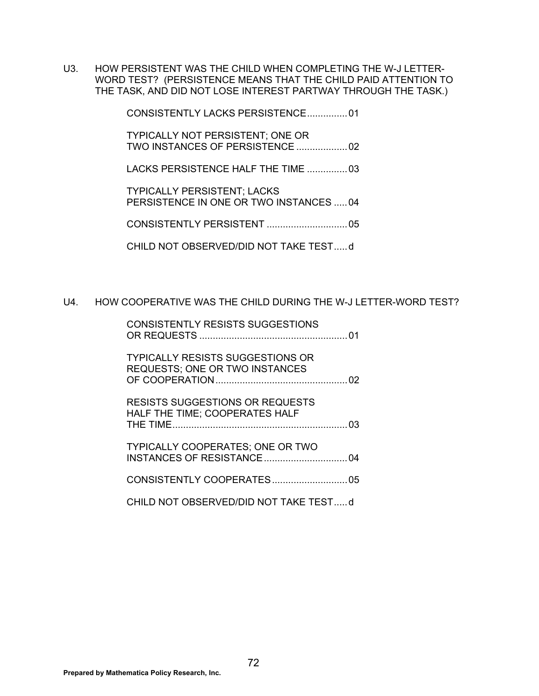U3. HOW PERSISTENT WAS THE CHILD WHEN COMPLETING THE W-J LETTER-WORD TEST? (PERSISTENCE MEANS THAT THE CHILD PAID ATTENTION TO THE TASK, AND DID NOT LOSE INTEREST PARTWAY THROUGH THE TASK.)

CONSISTENTLY LACKS PERSISTENCE ............... 01

 TYPICALLY NOT PERSISTENT; ONE OR TWO INSTANCES OF PERSISTENCE ................... 02

LACKS PERSISTENCE HALF THE TIME ............... 03

 TYPICALLY PERSISTENT; LACKS PERSISTENCE IN ONE OR TWO INSTANCES ..... 04

CONSISTENTLY PERSISTENT .............................. 05

CHILD NOT OBSERVED/DID NOT TAKE TEST ..... d

#### U4. HOW COOPERATIVE WAS THE CHILD DURING THE W-J LETTER-WORD TEST?

| <b>CONSISTENTLY RESISTS SUGGESTIONS</b>                                          |  |
|----------------------------------------------------------------------------------|--|
| <b>TYPICALLY RESISTS SUGGESTIONS OR</b><br><b>REQUESTS; ONE OR TWO INSTANCES</b> |  |
| <b>RESISTS SUGGESTIONS OR REQUESTS</b><br>HALF THE TIME; COOPERATES HALF         |  |
| TYPICALLY COOPERATES; ONE OR TWO                                                 |  |
|                                                                                  |  |
| CHILD NOT OBSERVED/DID NOT TAKE TESTd                                            |  |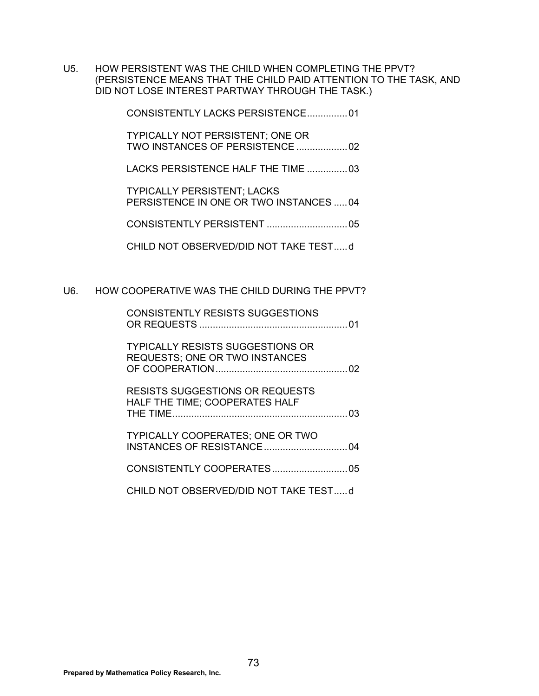U5. HOW PERSISTENT WAS THE CHILD WHEN COMPLETING THE PPVT? (PERSISTENCE MEANS THAT THE CHILD PAID ATTENTION TO THE TASK, AND DID NOT LOSE INTEREST PARTWAY THROUGH THE TASK.)

CONSISTENTLY LACKS PERSISTENCE ............... 01

 TYPICALLY NOT PERSISTENT; ONE OR TWO INSTANCES OF PERSISTENCE ................... 02

LACKS PERSISTENCE HALF THE TIME ............... 03

 TYPICALLY PERSISTENT; LACKS PERSISTENCE IN ONE OR TWO INSTANCES ..... 04

CONSISTENTLY PERSISTENT .............................. 05

CHILD NOT OBSERVED/DID NOT TAKE TEST ..... d

#### U6. HOW COOPERATIVE WAS THE CHILD DURING THE PPVT?

| <b>CONSISTENTLY RESISTS SUGGESTIONS</b>                                          |
|----------------------------------------------------------------------------------|
| <b>TYPICALLY RESISTS SUGGESTIONS OR</b><br><b>REQUESTS; ONE OR TWO INSTANCES</b> |
| <b>RESISTS SUGGESTIONS OR REQUESTS</b><br>HALF THE TIME: COOPERATES HALF         |
| <b>TYPICALLY COOPERATES: ONE OR TWO</b>                                          |
|                                                                                  |
| CHILD NOT OBSERVED/DID NOT TAKE TESTd                                            |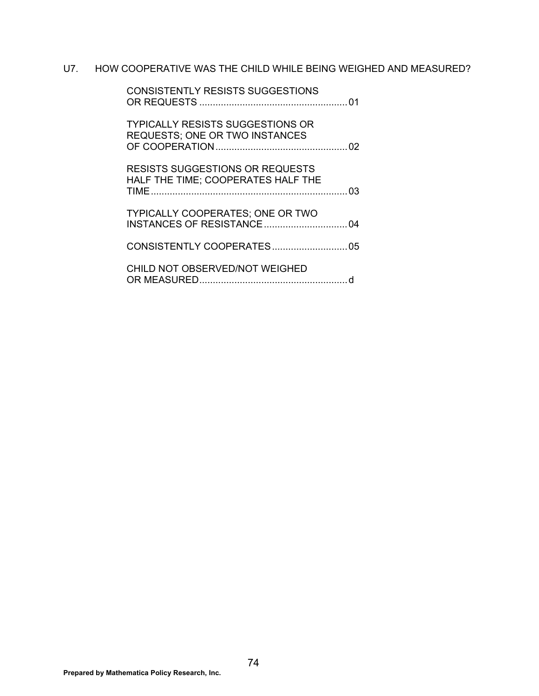## U7. HOW COOPERATIVE WAS THE CHILD WHILE BEING WEIGHED AND MEASURED?

| <b>CONSISTENTLY RESISTS SUGGESTIONS</b>                                              |     |
|--------------------------------------------------------------------------------------|-----|
| <b>TYPICALLY RESISTS SUGGESTIONS OR</b><br><b>REQUESTS; ONE OR TWO INSTANCES</b>     |     |
| <b>RESISTS SUGGESTIONS OR REQUESTS</b><br>HALF THE TIME; COOPERATES HALF THE<br>TIME | -03 |
| <b>TYPICALLY COOPERATES; ONE OR TWO</b>                                              |     |
|                                                                                      |     |
| CHILD NOT OBSERVED/NOT WEIGHED                                                       |     |
|                                                                                      |     |

**Prepared by Mathematica Policy Research, Inc.**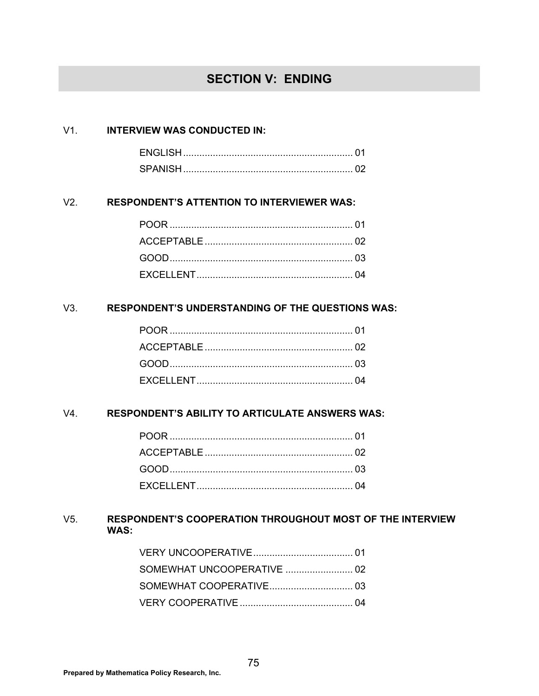# **SECTION V: ENDING**

#### V1. **INTERVIEW WAS CONDUCTED IN:**

| ENGLISH |  |
|---------|--|
| SPANISE |  |

## V2. **RESPONDENT'S ATTENTION TO INTERVIEWER WAS:**

## V3. **RESPONDENT'S UNDERSTANDING OF THE QUESTIONS WAS:**

#### V4. **RESPONDENT'S ABILITY TO ARTICULATE ANSWERS WAS:**

## V5. **RESPONDENT'S COOPERATION THROUGHOUT MOST OF THE INTERVIEW WAS:**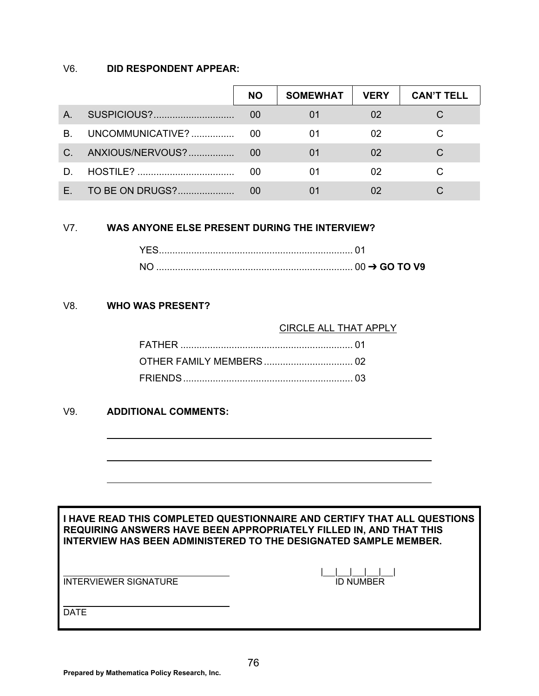## V6. **DID RESPONDENT APPEAR:**

|    |                  | <b>NO</b> | <b>SOMEWHAT</b> | <b>VERY</b> | <b>CAN'T TELL</b> |
|----|------------------|-----------|-----------------|-------------|-------------------|
| A. | SUSPICIOUS?      | 00        | 01              | 02          |                   |
| B. | UNCOMMUNICATIVE? | 00        | 01              | 02          |                   |
| C. | ANXIOUS/NERVOUS? | 00        | 01              | 02          |                   |
| D  |                  | 00        | 01              | 02          |                   |
|    | TO BE ON DRUGS?  |           |                 |             |                   |

## V7. **WAS ANYONE ELSE PRESENT DURING THE INTERVIEW?**

## V8. **WHO WAS PRESENT?**

| <b>CIRCLE ALL THAT APPLY</b> |
|------------------------------|
|                              |
|                              |
|                              |

## V9. **ADDITIONAL COMMENTS:**

|                       | I HAVE READ THIS COMPLETED QUESTIONNAIRE AND CERTIFY THAT ALL QUESTIONS<br>REQUIRING ANSWERS HAVE BEEN APPROPRIATELY FILLED IN, AND THAT THIS<br>INTERVIEW HAS BEEN ADMINISTERED TO THE DESIGNATED SAMPLE MEMBER. |
|-----------------------|-------------------------------------------------------------------------------------------------------------------------------------------------------------------------------------------------------------------|
| INTERVIEWER SIGNATURE | ID NUMBER                                                                                                                                                                                                         |
| <b>DATE</b>           |                                                                                                                                                                                                                   |

ı